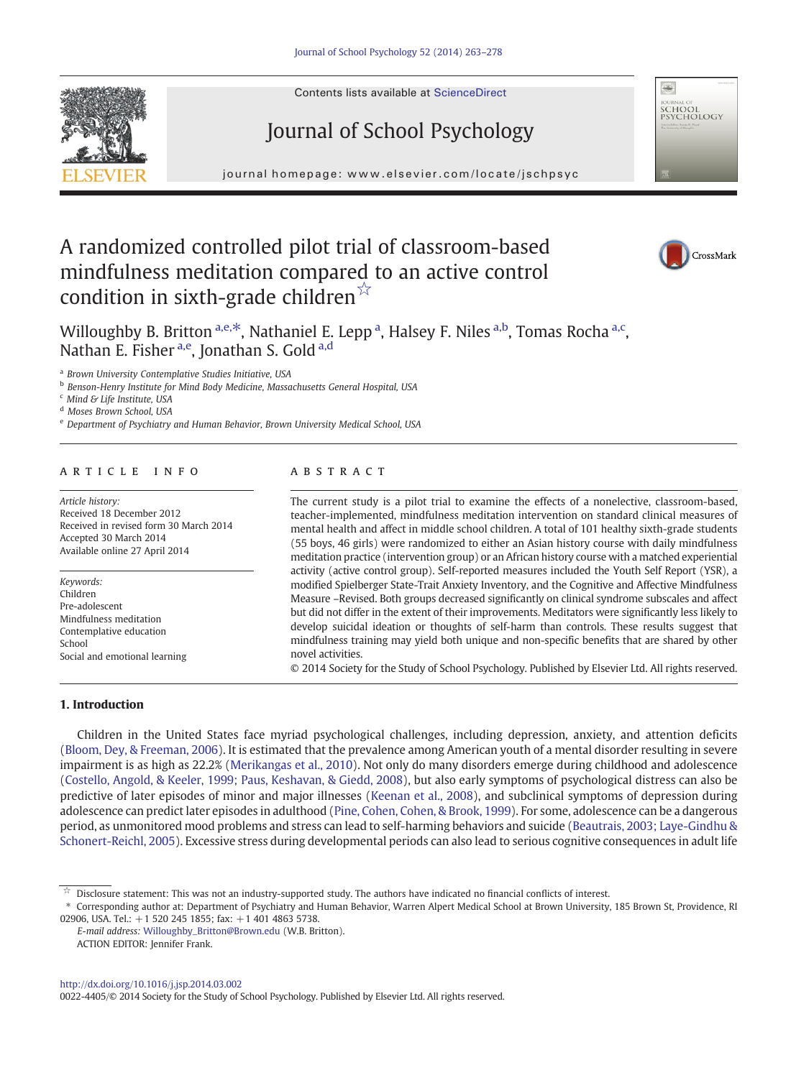

Contents lists available at ScienceDirect

# Journal of School Psychology

journal home page: www.elsevier.com/locate/jschpsychpsych

# A randomized controlled pilot trial of classroom-based mindfulness meditation compared to an active control condition in sixth-grade children $\sqrt[x]{x}$



SCHOOL<br>PSYCHOLOGY

 $\mathbb{C}$ 



Willoughby B. Britton <sup>a,e,\*</sup>, Nathaniel E. Lepp <sup>a</sup>, Halsey F. Niles <sup>a,b</sup>, Tomas Rocha <sup>a,c</sup>, Nathan E. Fisher a,e, Jonathan S. Gold a,d

<sup>a</sup> Brown University Contemplative Studies Initiative, USA

<sup>b</sup> Benson-Henry Institute for Mind Body Medicine, Massachusetts General Hospital, USA

 $c$  Mind & Life Institute, USA

<sup>d</sup> Moses Brown School, USA

<sup>e</sup> Department of Psychiatry and Human Behavior, Brown University Medical School, USA

# article info abstract

Article history: Received 18 December 2012 Received in revised form 30 March 2014 Accepted 30 March 2014 Available online 27 April 2014

Keywords: Children Pre-adolescent Mindfulness meditation Contemplative education School Social and emotional learning

The current study is a pilot trial to examine the effects of a nonelective, classroom-based, teacher-implemented, mindfulness meditation intervention on standard clinical measures of mental health and affect in middle school children. A total of 101 healthy sixth-grade students (55 boys, 46 girls) were randomized to either an Asian history course with daily mindfulness meditation practice (intervention group) or an African history course with a matched experiential activity (active control group). Self-reported measures included the Youth Self Report (YSR), a modified Spielberger State-Trait Anxiety Inventory, and the Cognitive and Affective Mindfulness Measure –Revised. Both groups decreased significantly on clinical syndrome subscales and affect but did not differ in the extent of their improvements. Meditators were significantly less likely to develop suicidal ideation or thoughts of self-harm than controls. These results suggest that mindfulness training may yield both unique and non-specific benefits that are shared by other novel activities.

© 2014 Society for the Study of School Psychology. Published by Elsevier Ltd. All rights reserved.

# 1. Introduction

Children in the United States face myriad psychological challenges, including depression, anxiety, and attention deficits ([Bloom, Dey, & Freeman, 2006](#page-12-0)). It is estimated that the prevalence among American youth of a mental disorder resulting in severe impairment is as high as 22.2% ([Merikangas et al., 2010\)](#page-14-0). Not only do many disorders emerge during childhood and adolescence ([Costello, Angold, & Keeler, 1999; Paus, Keshavan, & Giedd, 2008](#page-12-0)), but also early symptoms of psychological distress can also be predictive of later episodes of minor and major illnesses [\(Keenan et al., 2008\)](#page-13-0), and subclinical symptoms of depression during adolescence can predict later episodes in adulthood ([Pine, Cohen, Cohen, & Brook, 1999\)](#page-14-0). For some, adolescence can be a dangerous period, as unmonitored mood problems and stress can lead to self-harming behaviors and suicide [\(Beautrais, 2003; Laye-Gindhu &](#page-12-0) [Schonert-Reichl, 2005\)](#page-12-0). Excessive stress during developmental periods can also lead to serious cognitive consequences in adult life

<http://dx.doi.org/10.1016/j.jsp.2014.03.002>

0022-4405/© 2014 Society for the Study of School Psychology. Published by Elsevier Ltd. All rights reserved.

 $\overrightarrow{x}$  Disclosure statement: This was not an industry-supported study. The authors have indicated no financial conflicts of interest.

<sup>⁎</sup> Corresponding author at: Department of Psychiatry and Human Behavior, Warren Alpert Medical School at Brown University, 185 Brown St, Providence, RI 02906, USA. Tel.:  $+1$  520 245 1855; fax:  $+1$  401 4863 5738.

E-mail address: [Willoughby\\_Britton@Brown.edu](mailto:Willoughby_Britton@Brown.edu) (W.B. Britton). ACTION EDITOR: Jennifer Frank.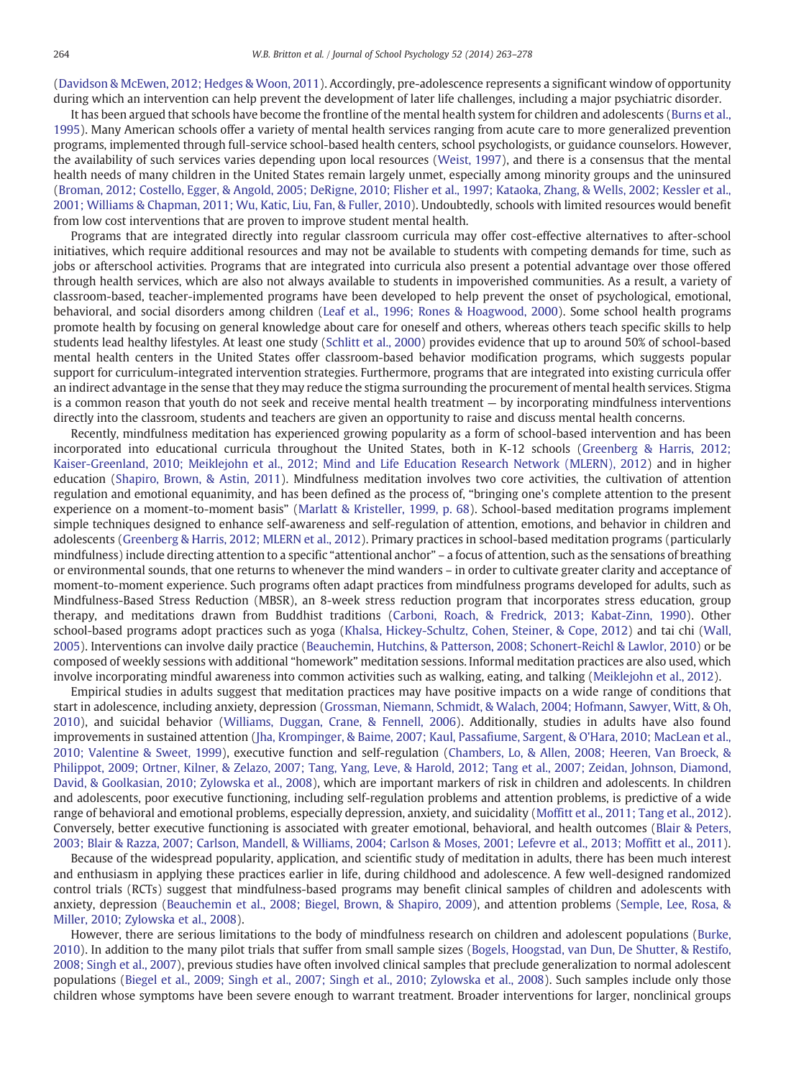[\(Davidson & McEwen, 2012; Hedges & Woon, 2011\)](#page-12-0). Accordingly, pre-adolescence represents a significant window of opportunity during which an intervention can help prevent the development of later life challenges, including a major psychiatric disorder.

It has been argued that schools have become the frontline of the mental health system for children and adolescents ([Burns et al.,](#page-12-0) [1995](#page-12-0)). Many American schools offer a variety of mental health services ranging from acute care to more generalized prevention programs, implemented through full-service school-based health centers, school psychologists, or guidance counselors. However, the availability of such services varies depending upon local resources [\(Weist, 1997](#page-15-0)), and there is a consensus that the mental health needs of many children in the United States remain largely unmet, especially among minority groups and the uninsured [\(Broman, 2012; Costello, Egger, & Angold, 2005; DeRigne, 2010; Flisher et al., 1997; Kataoka, Zhang, & Wells, 2002; Kessler et al.,](#page-12-0) [2001; Williams & Chapman, 2011; Wu, Katic, Liu, Fan, & Fuller, 2010\)](#page-12-0). Undoubtedly, schools with limited resources would benefit from low cost interventions that are proven to improve student mental health.

Programs that are integrated directly into regular classroom curricula may offer cost-effective alternatives to after-school initiatives, which require additional resources and may not be available to students with competing demands for time, such as jobs or afterschool activities. Programs that are integrated into curricula also present a potential advantage over those offered through health services, which are also not always available to students in impoverished communities. As a result, a variety of classroom-based, teacher-implemented programs have been developed to help prevent the onset of psychological, emotional, behavioral, and social disorders among children [\(Leaf et al., 1996; Rones & Hoagwood, 2000\)](#page-14-0). Some school health programs promote health by focusing on general knowledge about care for oneself and others, whereas others teach specific skills to help students lead healthy lifestyles. At least one study ([Schlitt et al., 2000\)](#page-15-0) provides evidence that up to around 50% of school-based mental health centers in the United States offer classroom-based behavior modification programs, which suggests popular support for curriculum-integrated intervention strategies. Furthermore, programs that are integrated into existing curricula offer an indirect advantage in the sense that they may reduce the stigma surrounding the procurement of mental health services. Stigma is a common reason that youth do not seek and receive mental health treatment — by incorporating mindfulness interventions directly into the classroom, students and teachers are given an opportunity to raise and discuss mental health concerns.

Recently, mindfulness meditation has experienced growing popularity as a form of school-based intervention and has been incorporated into educational curricula throughout the United States, both in K-12 schools ([Greenberg & Harris, 2012;](#page-13-0) [Kaiser-Greenland, 2010; Meiklejohn et al., 2012; Mind and Life Education Research Network \(MLERN\), 2012](#page-13-0)) and in higher education ([Shapiro, Brown, & Astin, 2011](#page-15-0)). Mindfulness meditation involves two core activities, the cultivation of attention regulation and emotional equanimity, and has been defined as the process of, "bringing one's complete attention to the present experience on a moment-to-moment basis" [\(Marlatt & Kristeller, 1999, p. 68](#page-14-0)). School-based meditation programs implement simple techniques designed to enhance self-awareness and self-regulation of attention, emotions, and behavior in children and adolescents ([Greenberg & Harris, 2012; MLERN et al., 2012](#page-13-0)). Primary practices in school-based meditation programs (particularly mindfulness) include directing attention to a specific "attentional anchor" – a focus of attention, such as the sensations of breathing or environmental sounds, that one returns to whenever the mind wanders – in order to cultivate greater clarity and acceptance of moment-to-moment experience. Such programs often adapt practices from mindfulness programs developed for adults, such as Mindfulness-Based Stress Reduction (MBSR), an 8-week stress reduction program that incorporates stress education, group therapy, and meditations drawn from Buddhist traditions ([Carboni, Roach, & Fredrick, 2013; Kabat-Zinn, 1990](#page-12-0)). Other school-based programs adopt practices such as yoga [\(Khalsa, Hickey-Schultz, Cohen, Steiner, & Cope, 2012](#page-13-0)) and tai chi [\(Wall,](#page-15-0) [2005](#page-15-0)). Interventions can involve daily practice ([Beauchemin, Hutchins, & Patterson, 2008; Schonert-Reichl & Lawlor, 2010](#page-12-0)) or be composed of weekly sessions with additional "homework" meditation sessions. Informal meditation practices are also used, which involve incorporating mindful awareness into common activities such as walking, eating, and talking [\(Meiklejohn et al., 2012](#page-14-0)).

Empirical studies in adults suggest that meditation practices may have positive impacts on a wide range of conditions that start in adolescence, including anxiety, depression [\(Grossman, Niemann, Schmidt, & Walach, 2004; Hofmann, Sawyer, Witt, & Oh,](#page-13-0) [2010](#page-13-0)), and suicidal behavior [\(Williams, Duggan, Crane, & Fennell, 2006\)](#page-15-0). Additionally, studies in adults have also found improvements in sustained attention [\(Jha, Krompinger, & Baime, 2007; Kaul, Passafiume, Sargent, & O'Hara, 2010; MacLean et al.,](#page-13-0) [2010; Valentine & Sweet, 1999\)](#page-13-0), executive function and self-regulation ([Chambers, Lo, & Allen, 2008; Heeren, Van Broeck, &](#page-12-0) [Philippot, 2009; Ortner, Kilner, & Zelazo, 2007; Tang, Yang, Leve, & Harold, 2012; Tang et al., 2007; Zeidan, Johnson, Diamond,](#page-12-0) [David, & Goolkasian, 2010; Zylowska et al., 2008\)](#page-12-0), which are important markers of risk in children and adolescents. In children and adolescents, poor executive functioning, including self-regulation problems and attention problems, is predictive of a wide range of behavioral and emotional problems, especially depression, anxiety, and suicidality (Moffitt [et al., 2011; Tang et al., 2012\)](#page-14-0). Conversely, better executive functioning is associated with greater emotional, behavioral, and health outcomes ([Blair & Peters,](#page-12-0) [2003; Blair & Razza, 2007; Carlson, Mandell, & Williams, 2004; Carlson & Moses, 2001; Lefevre et al., 2013; Moffitt et al., 2011\)](#page-12-0).

Because of the widespread popularity, application, and scientific study of meditation in adults, there has been much interest and enthusiasm in applying these practices earlier in life, during childhood and adolescence. A few well-designed randomized control trials (RCTs) suggest that mindfulness-based programs may benefit clinical samples of children and adolescents with anxiety, depression ([Beauchemin et al., 2008; Biegel, Brown, & Shapiro, 2009\)](#page-12-0), and attention problems [\(Semple, Lee, Rosa, &](#page-15-0) [Miller, 2010; Zylowska et al., 2008\)](#page-15-0).

However, there are serious limitations to the body of mindfulness research on children and adolescent populations [\(Burke,](#page-12-0) [2010](#page-12-0)). In addition to the many pilot trials that suffer from small sample sizes ([Bogels, Hoogstad, van Dun, De Shutter, & Restifo,](#page-12-0) [2008; Singh et al., 2007](#page-12-0)), previous studies have often involved clinical samples that preclude generalization to normal adolescent populations [\(Biegel et al., 2009; Singh et al., 2007; Singh et al., 2010; Zylowska et al., 2008\)](#page-12-0). Such samples include only those children whose symptoms have been severe enough to warrant treatment. Broader interventions for larger, nonclinical groups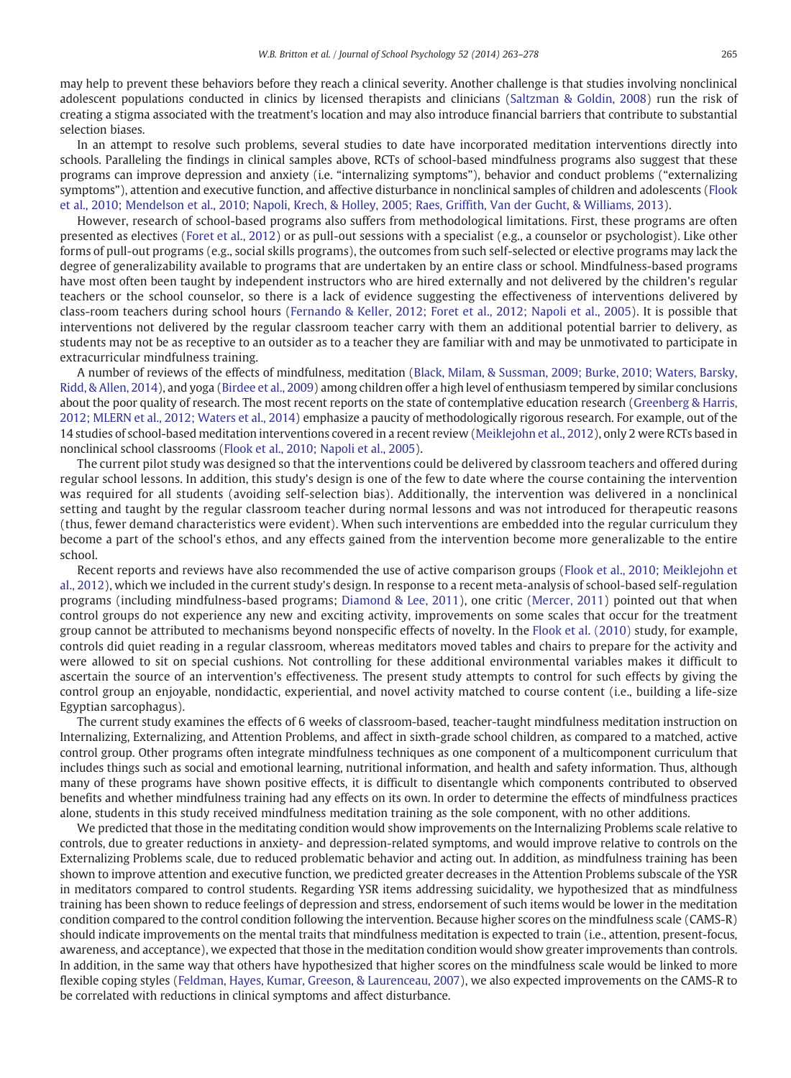may help to prevent these behaviors before they reach a clinical severity. Another challenge is that studies involving nonclinical adolescent populations conducted in clinics by licensed therapists and clinicians [\(Saltzman & Goldin, 2008\)](#page-15-0) run the risk of creating a stigma associated with the treatment's location and may also introduce financial barriers that contribute to substantial selection biases.

In an attempt to resolve such problems, several studies to date have incorporated meditation interventions directly into schools. Paralleling the findings in clinical samples above, RCTs of school-based mindfulness programs also suggest that these programs can improve depression and anxiety (i.e. "internalizing symptoms"), behavior and conduct problems ("externalizing symptoms"), attention and executive function, and affective disturbance in nonclinical samples of children and adolescents ([Flook](#page-13-0) [et al., 2010; Mendelson et al., 2010; Napoli, Krech, & Holley, 2005; Raes, Griffith, Van der Gucht, & Williams, 2013\)](#page-13-0).

However, research of school-based programs also suffers from methodological limitations. First, these programs are often presented as electives [\(Foret et al., 2012\)](#page-13-0) or as pull-out sessions with a specialist (e.g., a counselor or psychologist). Like other forms of pull-out programs (e.g., social skills programs), the outcomes from such self-selected or elective programs may lack the degree of generalizability available to programs that are undertaken by an entire class or school. Mindfulness-based programs have most often been taught by independent instructors who are hired externally and not delivered by the children's regular teachers or the school counselor, so there is a lack of evidence suggesting the effectiveness of interventions delivered by class-room teachers during school hours ([Fernando & Keller, 2012; Foret et al., 2012; Napoli et al., 2005](#page-13-0)). It is possible that interventions not delivered by the regular classroom teacher carry with them an additional potential barrier to delivery, as students may not be as receptive to an outsider as to a teacher they are familiar with and may be unmotivated to participate in extracurricular mindfulness training.

A number of reviews of the effects of mindfulness, meditation ([Black, Milam, & Sussman, 2009; Burke, 2010; Waters, Barsky,](#page-12-0) [Ridd, & Allen, 2014\)](#page-12-0), and yoga ([Birdee et al., 2009\)](#page-12-0) among children offer a high level of enthusiasm tempered by similar conclusions about the poor quality of research. The most recent reports on the state of contemplative education research [\(Greenberg & Harris,](#page-13-0) [2012; MLERN et al., 2012; Waters et al., 2014](#page-13-0)) emphasize a paucity of methodologically rigorous research. For example, out of the 14 studies of school-based meditation interventions covered in a recent review [\(Meiklejohn et al., 2012\)](#page-14-0), only 2 were RCTs based in nonclinical school classrooms [\(Flook et al., 2010; Napoli et al., 2005\)](#page-13-0).

The current pilot study was designed so that the interventions could be delivered by classroom teachers and offered during regular school lessons. In addition, this study's design is one of the few to date where the course containing the intervention was required for all students (avoiding self-selection bias). Additionally, the intervention was delivered in a nonclinical setting and taught by the regular classroom teacher during normal lessons and was not introduced for therapeutic reasons (thus, fewer demand characteristics were evident). When such interventions are embedded into the regular curriculum they become a part of the school's ethos, and any effects gained from the intervention become more generalizable to the entire school.

Recent reports and reviews have also recommended the use of active comparison groups [\(Flook et al., 2010; Meiklejohn et](#page-13-0) [al., 2012\)](#page-13-0), which we included in the current study's design. In response to a recent meta-analysis of school-based self-regulation programs (including mindfulness-based programs; [Diamond & Lee, 2011](#page-13-0)), one critic ([Mercer, 2011\)](#page-14-0) pointed out that when control groups do not experience any new and exciting activity, improvements on some scales that occur for the treatment group cannot be attributed to mechanisms beyond nonspecific effects of novelty. In the [Flook et al. \(2010\)](#page-13-0) study, for example, controls did quiet reading in a regular classroom, whereas meditators moved tables and chairs to prepare for the activity and were allowed to sit on special cushions. Not controlling for these additional environmental variables makes it difficult to ascertain the source of an intervention's effectiveness. The present study attempts to control for such effects by giving the control group an enjoyable, nondidactic, experiential, and novel activity matched to course content (i.e., building a life-size Egyptian sarcophagus).

The current study examines the effects of 6 weeks of classroom-based, teacher-taught mindfulness meditation instruction on Internalizing, Externalizing, and Attention Problems, and affect in sixth-grade school children, as compared to a matched, active control group. Other programs often integrate mindfulness techniques as one component of a multicomponent curriculum that includes things such as social and emotional learning, nutritional information, and health and safety information. Thus, although many of these programs have shown positive effects, it is difficult to disentangle which components contributed to observed benefits and whether mindfulness training had any effects on its own. In order to determine the effects of mindfulness practices alone, students in this study received mindfulness meditation training as the sole component, with no other additions.

We predicted that those in the meditating condition would show improvements on the Internalizing Problems scale relative to controls, due to greater reductions in anxiety- and depression-related symptoms, and would improve relative to controls on the Externalizing Problems scale, due to reduced problematic behavior and acting out. In addition, as mindfulness training has been shown to improve attention and executive function, we predicted greater decreases in the Attention Problems subscale of the YSR in meditators compared to control students. Regarding YSR items addressing suicidality, we hypothesized that as mindfulness training has been shown to reduce feelings of depression and stress, endorsement of such items would be lower in the meditation condition compared to the control condition following the intervention. Because higher scores on the mindfulness scale (CAMS-R) should indicate improvements on the mental traits that mindfulness meditation is expected to train (i.e., attention, present-focus, awareness, and acceptance), we expected that those in the meditation condition would show greater improvements than controls. In addition, in the same way that others have hypothesized that higher scores on the mindfulness scale would be linked to more flexible coping styles ([Feldman, Hayes, Kumar, Greeson, & Laurenceau, 2007\)](#page-13-0), we also expected improvements on the CAMS-R to be correlated with reductions in clinical symptoms and affect disturbance.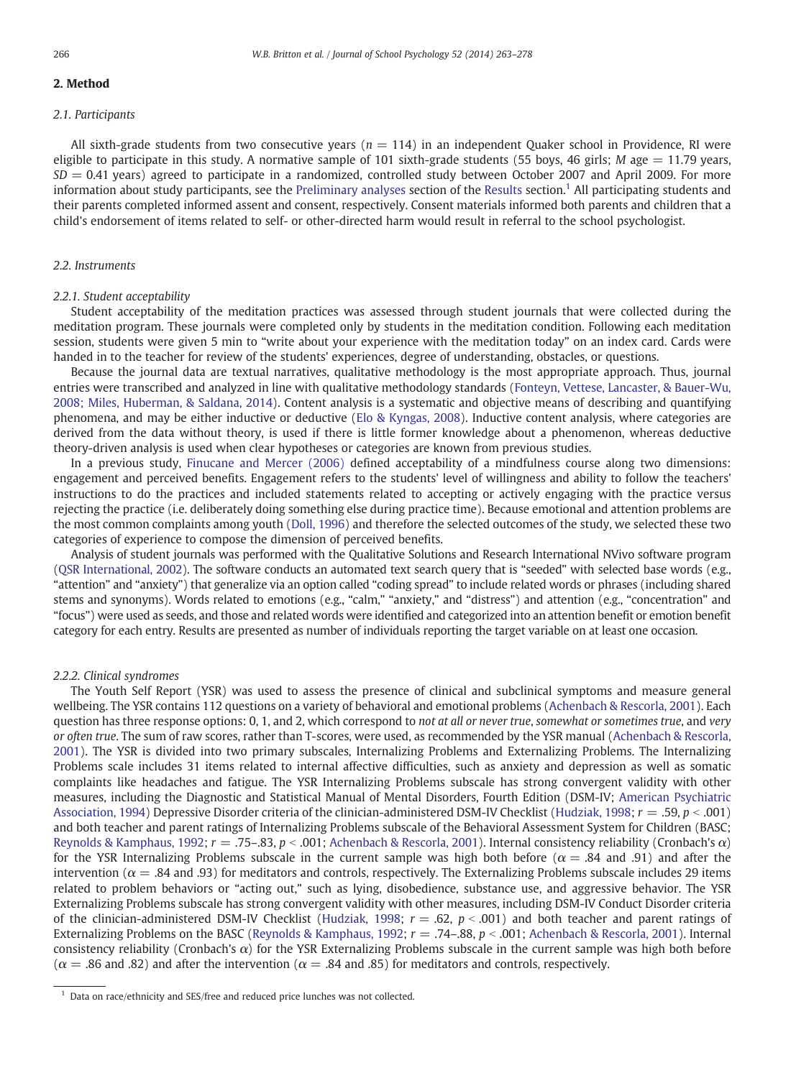# 2. Method

# 2.1. Participants

All sixth-grade students from two consecutive years  $(n = 114)$  in an independent Quaker school in Providence, RI were eligible to participate in this study. A normative sample of 101 sixth-grade students (55 boys, 46 girls; *M* age  $= 11.79$  years,  $SD = 0.41$  years) agreed to participate in a randomized, controlled study between October 2007 and April 2009. For more information about study participants, see the [Preliminary analyses](#page-6-0) section of the [Results](#page-6-0) section.1 All participating students and their parents completed informed assent and consent, respectively. Consent materials informed both parents and children that a child's endorsement of items related to self- or other-directed harm would result in referral to the school psychologist.

# 2.2. Instruments

# 2.2.1. Student acceptability

Student acceptability of the meditation practices was assessed through student journals that were collected during the meditation program. These journals were completed only by students in the meditation condition. Following each meditation session, students were given 5 min to "write about your experience with the meditation today" on an index card. Cards were handed in to the teacher for review of the students' experiences, degree of understanding, obstacles, or questions.

Because the journal data are textual narratives, qualitative methodology is the most appropriate approach. Thus, journal entries were transcribed and analyzed in line with qualitative methodology standards [\(Fonteyn, Vettese, Lancaster, & Bauer-Wu,](#page-13-0) [2008; Miles, Huberman, & Saldana, 2014\)](#page-13-0). Content analysis is a systematic and objective means of describing and quantifying phenomena, and may be either inductive or deductive [\(Elo & Kyngas, 2008\)](#page-13-0). Inductive content analysis, where categories are derived from the data without theory, is used if there is little former knowledge about a phenomenon, whereas deductive theory-driven analysis is used when clear hypotheses or categories are known from previous studies.

In a previous study, [Finucane and Mercer \(2006\)](#page-13-0) defined acceptability of a mindfulness course along two dimensions: engagement and perceived benefits. Engagement refers to the students' level of willingness and ability to follow the teachers' instructions to do the practices and included statements related to accepting or actively engaging with the practice versus rejecting the practice (i.e. deliberately doing something else during practice time). Because emotional and attention problems are the most common complaints among youth [\(Doll, 1996](#page-13-0)) and therefore the selected outcomes of the study, we selected these two categories of experience to compose the dimension of perceived benefits.

Analysis of student journals was performed with the Qualitative Solutions and Research International NVivo software program [\(QSR International, 2002](#page-14-0)). The software conducts an automated text search query that is "seeded" with selected base words (e.g., "attention" and "anxiety") that generalize via an option called "coding spread" to include related words or phrases (including shared stems and synonyms). Words related to emotions (e.g., "calm," "anxiety," and "distress") and attention (e.g., "concentration" and "focus") were used as seeds, and those and related words were identified and categorized into an attention benefit or emotion benefit category for each entry. Results are presented as number of individuals reporting the target variable on at least one occasion.

#### 2.2.2. Clinical syndromes

The Youth Self Report (YSR) was used to assess the presence of clinical and subclinical symptoms and measure general wellbeing. The YSR contains 112 questions on a variety of behavioral and emotional problems ([Achenbach & Rescorla, 2001\)](#page-12-0). Each question has three response options: 0, 1, and 2, which correspond to not at all or never true, somewhat or sometimes true, and very or often true. The sum of raw scores, rather than T-scores, were used, as recommended by the YSR manual ([Achenbach & Rescorla,](#page-12-0) [2001](#page-12-0)). The YSR is divided into two primary subscales, Internalizing Problems and Externalizing Problems. The Internalizing Problems scale includes 31 items related to internal affective difficulties, such as anxiety and depression as well as somatic complaints like headaches and fatigue. The YSR Internalizing Problems subscale has strong convergent validity with other measures, including the Diagnostic and Statistical Manual of Mental Disorders, Fourth Edition (DSM-IV; [American Psychiatric](#page-12-0) [Association, 1994](#page-12-0)) Depressive Disorder criteria of the clinician-administered DSM-IV Checklist [\(Hudziak, 1998](#page-13-0);  $r = .59$ ,  $p < .001$ ) and both teacher and parent ratings of Internalizing Problems subscale of the Behavioral Assessment System for Children (BASC; Reynolds [& Kamphaus, 1992](#page-14-0);  $r = .75-.83$ ,  $p < .001$ ; [Achenbach & Rescorla, 2001](#page-12-0)). Internal consistency reliability (Cronbach's  $\alpha$ ) for the YSR Internalizing Problems subscale in the current sample was high both before ( $\alpha = .84$  and .91) and after the intervention ( $\alpha = .84$  and .93) for meditators and controls, respectively. The Externalizing Problems subscale includes 29 items related to problem behaviors or "acting out," such as lying, disobedience, substance use, and aggressive behavior. The YSR Externalizing Problems subscale has strong convergent validity with other measures, including DSM-IV Conduct Disorder criteria of the clinician-administered DSM-IV Checklist ([Hudziak, 1998;](#page-13-0)  $r = .62$ ,  $p < .001$ ) and both teacher and parent ratings of Externalizing Problems on the BASC ([Reynolds & Kamphaus, 1992;](#page-14-0)  $r = .74-.88$ ,  $p < .001$ ; [Achenbach & Rescorla, 2001\)](#page-12-0). Internal consistency reliability (Cronbach's  $\alpha$ ) for the YSR Externalizing Problems subscale in the current sample was high both before  $(\alpha = .86$  and .82) and after the intervention ( $\alpha = .84$  and .85) for meditators and controls, respectively.

 $1$  Data on race/ethnicity and SES/free and reduced price lunches was not collected.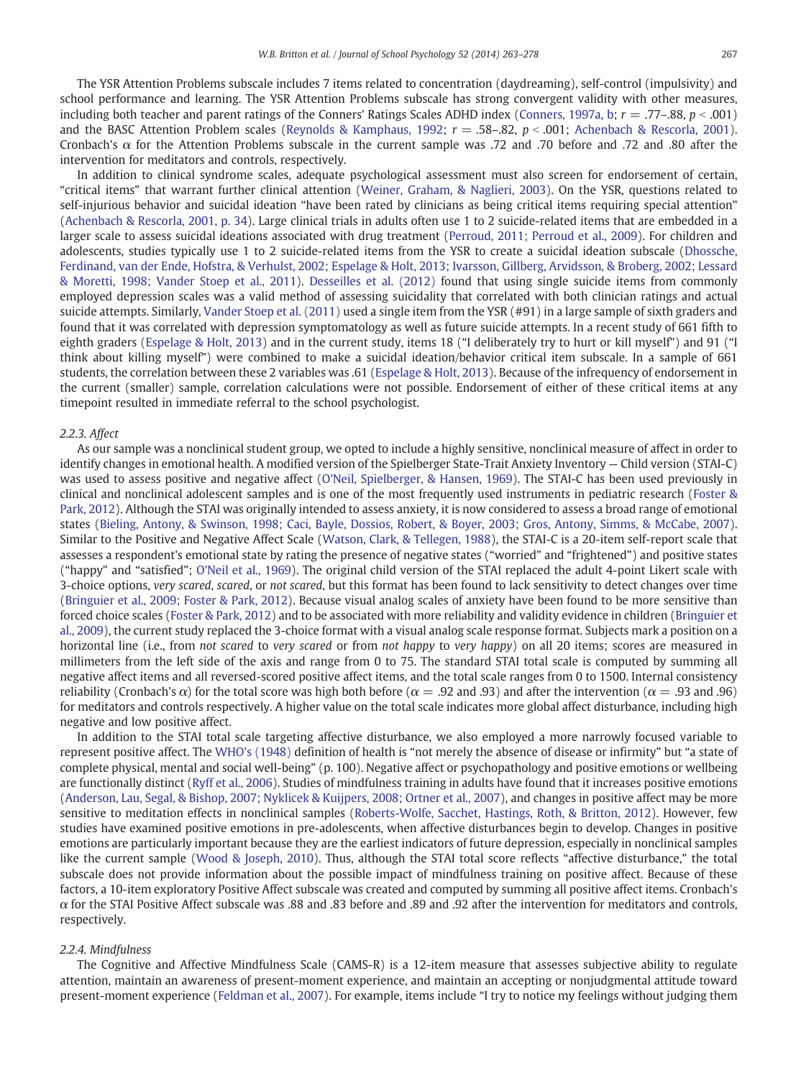The YSR Attention Problems subscale includes 7 items related to concentration (daydreaming), self-control (impulsivity) and school performance and learning. The YSR Attention Problems subscale has strong convergent validity with other measures, including both teacher and parent ratings of the Conners' Ratings Scales ADHD index [\(Conners, 1997a, b](#page-12-0);  $r = .77-0.88$ ,  $p < .001$ ) and the BASC Attention Problem scales [\(Reynolds & Kamphaus, 1992;](#page-14-0)  $r = .58-.82$ ,  $p < .001$ ; [Achenbach & Rescorla, 2001](#page-12-0)). Cronbach's α for the Attention Problems subscale in the current sample was .72 and .70 before and .72 and .80 after the intervention for meditators and controls, respectively.

In addition to clinical syndrome scales, adequate psychological assessment must also screen for endorsement of certain, "critical items" that warrant further clinical attention [\(Weiner, Graham, & Naglieri, 2003\)](#page-15-0). On the YSR, questions related to self-injurious behavior and suicidal ideation "have been rated by clinicians as being critical items requiring special attention" ([Achenbach & Rescorla, 2001, p. 34](#page-12-0)). Large clinical trials in adults often use 1 to 2 suicide-related items that are embedded in a larger scale to assess suicidal ideations associated with drug treatment ([Perroud, 2011; Perroud et al., 2009\)](#page-14-0). For children and adolescents, studies typically use 1 to 2 suicide-related items from the YSR to create a suicidal ideation subscale [\(Dhossche,](#page-13-0) [Ferdinand, van der Ende, Hofstra, & Verhulst, 2002; Espelage & Holt, 2013; Ivarsson, Gillberg, Arvidsson, & Broberg, 2002; Lessard](#page-13-0) [& Moretti, 1998; Vander Stoep et al., 2011\)](#page-13-0). [Desseilles et al. \(2012\)](#page-13-0) found that using single suicide items from commonly employed depression scales was a valid method of assessing suicidality that correlated with both clinician ratings and actual suicide attempts. Similarly, [Vander Stoep et al. \(2011\)](#page-15-0) used a single item from the YSR (#91) in a large sample of sixth graders and found that it was correlated with depression symptomatology as well as future suicide attempts. In a recent study of 661 fifth to eighth graders [\(Espelage & Holt, 2013](#page-13-0)) and in the current study, items 18 ("I deliberately try to hurt or kill myself") and 91 ("I think about killing myself") were combined to make a suicidal ideation/behavior critical item subscale. In a sample of 661 students, the correlation between these 2 variables was .61 [\(Espelage & Holt, 2013](#page-13-0)). Because of the infrequency of endorsement in the current (smaller) sample, correlation calculations were not possible. Endorsement of either of these critical items at any timepoint resulted in immediate referral to the school psychologist.

#### 2.2.3. Affect

As our sample was a nonclinical student group, we opted to include a highly sensitive, nonclinical measure of affect in order to identify changes in emotional health. A modified version of the Spielberger State-Trait Anxiety Inventory — Child version (STAI-C) was used to assess positive and negative affect ([O'Neil, Spielberger, & Hansen, 1969\)](#page-14-0). The STAI-C has been used previously in clinical and nonclinical adolescent samples and is one of the most frequently used instruments in pediatric research [\(Foster &](#page-13-0) [Park, 2012](#page-13-0)). Although the STAI was originally intended to assess anxiety, it is now considered to assess a broad range of emotional states ([Bieling, Antony, & Swinson, 1998; Caci, Bayle, Dossios, Robert, & Boyer, 2003; Gros, Antony, Simms, & McCabe, 2007](#page-12-0)). Similar to the Positive and Negative Affect Scale ([Watson, Clark, & Tellegen, 1988\)](#page-15-0), the STAI-C is a 20-item self-report scale that assesses a respondent's emotional state by rating the presence of negative states ("worried" and "frightened") and positive states ("happy" and "satisfied"; O'Neil [et al., 1969](#page-14-0)). The original child version of the STAI replaced the adult 4-point Likert scale with 3-choice options, very scared, scared, or not scared, but this format has been found to lack sensitivity to detect changes over time ([Bringuier et al., 2009; Foster & Park, 2012\)](#page-12-0). Because visual analog scales of anxiety have been found to be more sensitive than forced choice scales [\(Foster & Park, 2012\)](#page-13-0) and to be associated with more reliability and validity evidence in children ([Bringuier et](#page-12-0) [al., 2009](#page-12-0)), the current study replaced the 3-choice format with a visual analog scale response format. Subjects mark a position on a horizontal line (i.e., from not scared to very scared or from not happy to very happy) on all 20 items; scores are measured in millimeters from the left side of the axis and range from 0 to 75. The standard STAI total scale is computed by summing all negative affect items and all reversed-scored positive affect items, and the total scale ranges from 0 to 1500. Internal consistency reliability (Cronbach's α) for the total score was high both before ( $\alpha = .92$  and .93) and after the intervention ( $\alpha = .93$  and .96) for meditators and controls respectively. A higher value on the total scale indicates more global affect disturbance, including high negative and low positive affect.

In addition to the STAI total scale targeting affective disturbance, we also employed a more narrowly focused variable to represent positive affect. The [WHO's \(1948\)](#page-15-0) definition of health is "not merely the absence of disease or infirmity" but "a state of complete physical, mental and social well-being" (p. 100). Negative affect or psychopathology and positive emotions or wellbeing are functionally distinct [\(Ryff et al., 2006](#page-14-0)). Studies of mindfulness training in adults have found that it increases positive emotions ([Anderson, Lau, Segal, & Bishop, 2007; Nyklicek & Kuijpers, 2008; Ortner et al., 2007](#page-12-0)), and changes in positive affect may be more sensitive to meditation effects in nonclinical samples [\(Roberts-Wolfe, Sacchet, Hastings, Roth, & Britton, 2012](#page-14-0)). However, few studies have examined positive emotions in pre-adolescents, when affective disturbances begin to develop. Changes in positive emotions are particularly important because they are the earliest indicators of future depression, especially in nonclinical samples like the current sample ([Wood & Joseph, 2010\)](#page-15-0). Thus, although the STAI total score reflects "affective disturbance," the total subscale does not provide information about the possible impact of mindfulness training on positive affect. Because of these factors, a 10-item exploratory Positive Affect subscale was created and computed by summing all positive affect items. Cronbach's  $\alpha$  for the STAI Positive Affect subscale was .88 and .83 before and .89 and .92 after the intervention for meditators and controls. respectively.

# 2.2.4. Mindfulness

The Cognitive and Affective Mindfulness Scale (CAMS-R) is a 12-item measure that assesses subjective ability to regulate attention, maintain an awareness of present-moment experience, and maintain an accepting or nonjudgmental attitude toward present-moment experience [\(Feldman et al., 2007\)](#page-13-0). For example, items include "I try to notice my feelings without judging them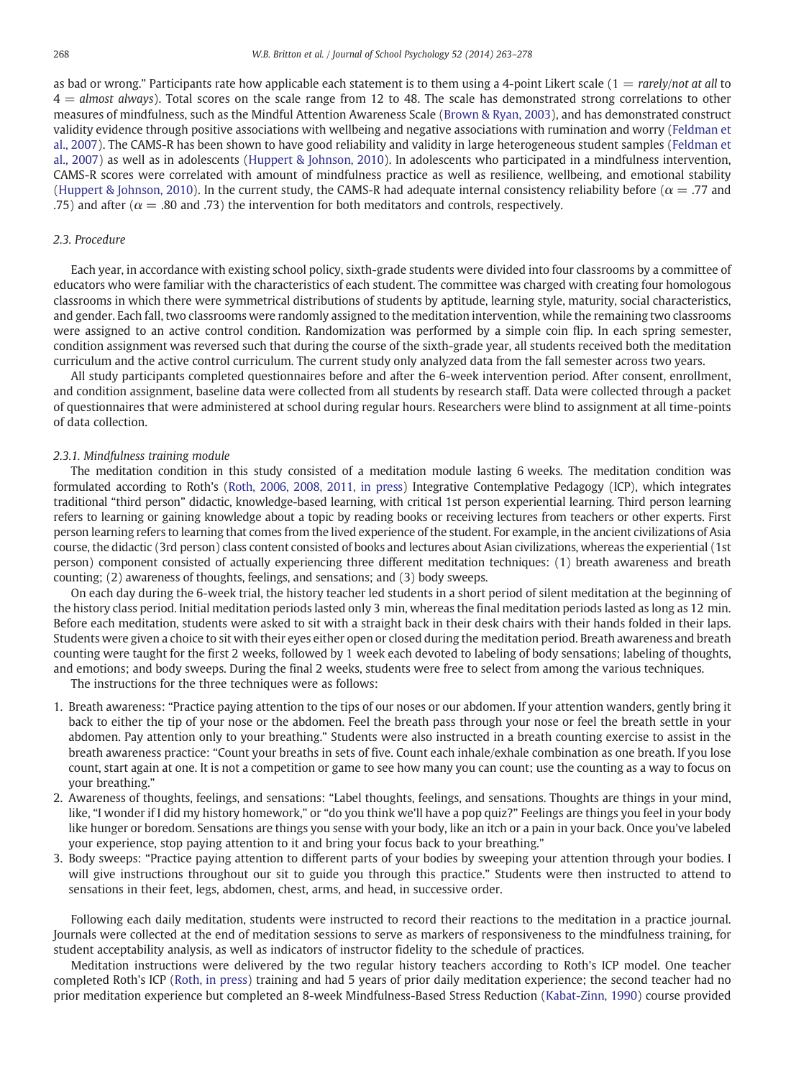as bad or wrong." Participants rate how applicable each statement is to them using a 4-point Likert scale  $(1 = rarely/not \ at \ all \ to$  $4 =$  almost always). Total scores on the scale range from 12 to 48. The scale has demonstrated strong correlations to other measures of mindfulness, such as the Mindful Attention Awareness Scale ([Brown & Ryan, 2003](#page-12-0)), and has demonstrated construct validity evidence through positive associations with wellbeing and negative associations with rumination and worry ([Feldman et](#page-13-0) [al., 2007](#page-13-0)). The CAMS-R has been shown to have good reliability and validity in large heterogeneous student samples ([Feldman et](#page-13-0) [al., 2007\)](#page-13-0) as well as in adolescents [\(Huppert & Johnson, 2010](#page-13-0)). In adolescents who participated in a mindfulness intervention, CAMS-R scores were correlated with amount of mindfulness practice as well as resilience, wellbeing, and emotional stability [\(Huppert & Johnson, 2010\)](#page-13-0). In the current study, the CAMS-R had adequate internal consistency reliability before ( $\alpha = .77$  and .75) and after ( $\alpha$  = .80 and .73) the intervention for both meditators and controls, respectively.

#### 2.3. Procedure

Each year, in accordance with existing school policy, sixth-grade students were divided into four classrooms by a committee of educators who were familiar with the characteristics of each student. The committee was charged with creating four homologous classrooms in which there were symmetrical distributions of students by aptitude, learning style, maturity, social characteristics, and gender. Each fall, two classrooms were randomly assigned to the meditation intervention, while the remaining two classrooms were assigned to an active control condition. Randomization was performed by a simple coin flip. In each spring semester, condition assignment was reversed such that during the course of the sixth-grade year, all students received both the meditation curriculum and the active control curriculum. The current study only analyzed data from the fall semester across two years.

All study participants completed questionnaires before and after the 6-week intervention period. After consent, enrollment, and condition assignment, baseline data were collected from all students by research staff. Data were collected through a packet of questionnaires that were administered at school during regular hours. Researchers were blind to assignment at all time-points of data collection.

#### 2.3.1. Mindfulness training module

The meditation condition in this study consisted of a meditation module lasting 6 weeks. The meditation condition was formulated according to Roth's [\(Roth, 2006, 2008, 2011, in press](#page-14-0)) Integrative Contemplative Pedagogy (ICP), which integrates traditional "third person" didactic, knowledge-based learning, with critical 1st person experiential learning. Third person learning refers to learning or gaining knowledge about a topic by reading books or receiving lectures from teachers or other experts. First person learning refers to learning that comes from the lived experience of the student. For example, in the ancient civilizations of Asia course, the didactic (3rd person) class content consisted of books and lectures about Asian civilizations, whereas the experiential (1st person) component consisted of actually experiencing three different meditation techniques: (1) breath awareness and breath counting; (2) awareness of thoughts, feelings, and sensations; and (3) body sweeps.

On each day during the 6-week trial, the history teacher led students in a short period of silent meditation at the beginning of the history class period. Initial meditation periods lasted only 3 min, whereas the final meditation periods lasted as long as 12 min. Before each meditation, students were asked to sit with a straight back in their desk chairs with their hands folded in their laps. Students were given a choice to sit with their eyes either open or closed during the meditation period. Breath awareness and breath counting were taught for the first 2 weeks, followed by 1 week each devoted to labeling of body sensations; labeling of thoughts, and emotions; and body sweeps. During the final 2 weeks, students were free to select from among the various techniques.

The instructions for the three techniques were as follows:

- 1. Breath awareness: "Practice paying attention to the tips of our noses or our abdomen. If your attention wanders, gently bring it back to either the tip of your nose or the abdomen. Feel the breath pass through your nose or feel the breath settle in your abdomen. Pay attention only to your breathing." Students were also instructed in a breath counting exercise to assist in the breath awareness practice: "Count your breaths in sets of five. Count each inhale/exhale combination as one breath. If you lose count, start again at one. It is not a competition or game to see how many you can count; use the counting as a way to focus on your breathing."
- 2. Awareness of thoughts, feelings, and sensations: "Label thoughts, feelings, and sensations. Thoughts are things in your mind, like, "I wonder if I did my history homework," or "do you think we'll have a pop quiz?" Feelings are things you feel in your body like hunger or boredom. Sensations are things you sense with your body, like an itch or a pain in your back. Once you've labeled your experience, stop paying attention to it and bring your focus back to your breathing."
- 3. Body sweeps: "Practice paying attention to different parts of your bodies by sweeping your attention through your bodies. I will give instructions throughout our sit to guide you through this practice." Students were then instructed to attend to sensations in their feet, legs, abdomen, chest, arms, and head, in successive order.

Following each daily meditation, students were instructed to record their reactions to the meditation in a practice journal. Journals were collected at the end of meditation sessions to serve as markers of responsiveness to the mindfulness training, for student acceptability analysis, as well as indicators of instructor fidelity to the schedule of practices.

Meditation instructions were delivered by the two regular history teachers according to Roth's ICP model. One teacher completed Roth's ICP [\(Roth, in press](#page-14-0)) training and had 5 years of prior daily meditation experience; the second teacher had no prior meditation experience but completed an 8-week Mindfulness-Based Stress Reduction ([Kabat-Zinn, 1990](#page-13-0)) course provided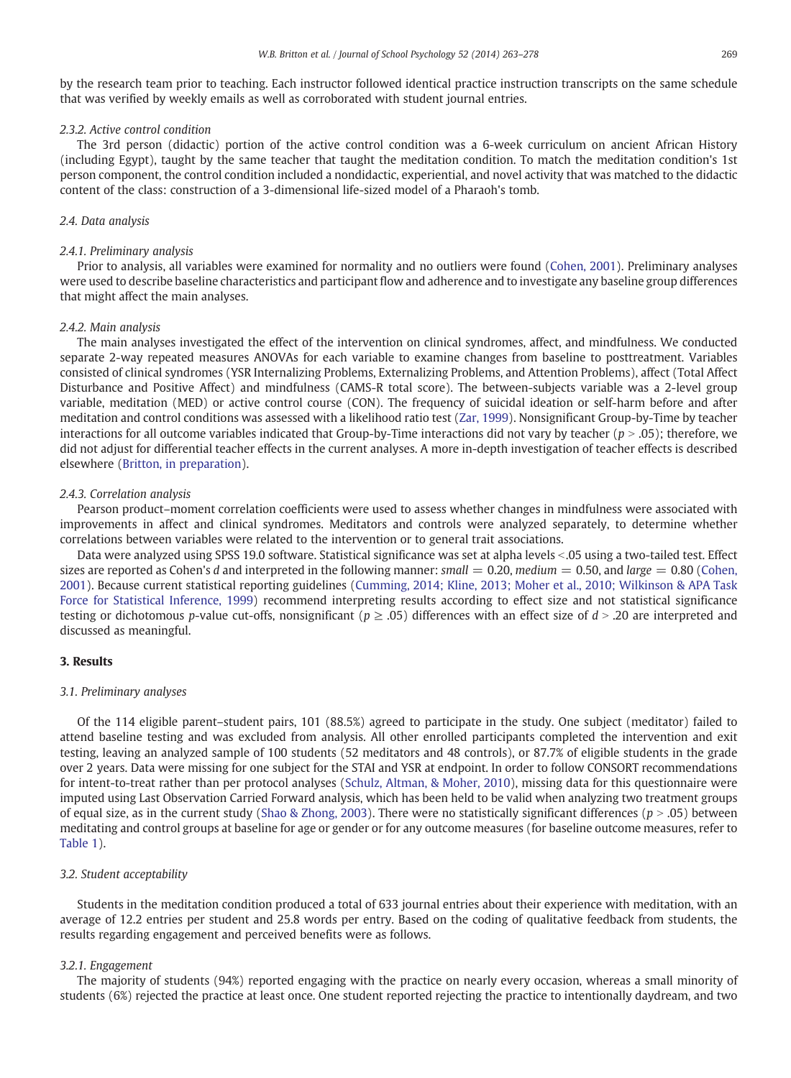<span id="page-6-0"></span>by the research team prior to teaching. Each instructor followed identical practice instruction transcripts on the same schedule that was verified by weekly emails as well as corroborated with student journal entries.

# 2.3.2. Active control condition

The 3rd person (didactic) portion of the active control condition was a 6-week curriculum on ancient African History (including Egypt), taught by the same teacher that taught the meditation condition. To match the meditation condition's 1st person component, the control condition included a nondidactic, experiential, and novel activity that was matched to the didactic content of the class: construction of a 3-dimensional life-sized model of a Pharaoh's tomb.

# 2.4. Data analysis

# 2.4.1. Preliminary analysis

Prior to analysis, all variables were examined for normality and no outliers were found ([Cohen, 2001](#page-12-0)). Preliminary analyses were used to describe baseline characteristics and participant flow and adherence and to investigate any baseline group differences that might affect the main analyses.

#### 2.4.2. Main analysis

The main analyses investigated the effect of the intervention on clinical syndromes, affect, and mindfulness. We conducted separate 2-way repeated measures ANOVAs for each variable to examine changes from baseline to posttreatment. Variables consisted of clinical syndromes (YSR Internalizing Problems, Externalizing Problems, and Attention Problems), affect (Total Affect Disturbance and Positive Affect) and mindfulness (CAMS-R total score). The between-subjects variable was a 2-level group variable, meditation (MED) or active control course (CON). The frequency of suicidal ideation or self-harm before and after meditation and control conditions was assessed with a likelihood ratio test [\(Zar, 1999\)](#page-15-0). Nonsignificant Group-by-Time by teacher interactions for all outcome variables indicated that Group-by-Time interactions did not vary by teacher  $(p > .05)$ ; therefore, we did not adjust for differential teacher effects in the current analyses. A more in-depth investigation of teacher effects is described elsewhere [\(Britton, in preparation](#page-12-0)).

# 2.4.3. Correlation analysis

Pearson product–moment correlation coefficients were used to assess whether changes in mindfulness were associated with improvements in affect and clinical syndromes. Meditators and controls were analyzed separately, to determine whether correlations between variables were related to the intervention or to general trait associations.

Data were analyzed using SPSS 19.0 software. Statistical significance was set at alpha levels <.05 using a two-tailed test. Effect sizes are reported as Cohen's d and interpreted in the following manner: small  $= 0.20$ , medium  $= 0.50$ , and large  $= 0.80$  ([Cohen,](#page-12-0) [2001](#page-12-0)). Because current statistical reporting guidelines ([Cumming, 2014; Kline, 2013; Moher et al., 2010; Wilkinson & APA Task](#page-12-0) [Force for Statistical Inference, 1999](#page-12-0)) recommend interpreting results according to effect size and not statistical significance testing or dichotomous p-value cut-offs, nonsignificant ( $p \ge .05$ ) differences with an effect size of  $d > .20$  are interpreted and discussed as meaningful.

# 3. Results

#### 3.1. Preliminary analyses

Of the 114 eligible parent–student pairs, 101 (88.5%) agreed to participate in the study. One subject (meditator) failed to attend baseline testing and was excluded from analysis. All other enrolled participants completed the intervention and exit testing, leaving an analyzed sample of 100 students (52 meditators and 48 controls), or 87.7% of eligible students in the grade over 2 years. Data were missing for one subject for the STAI and YSR at endpoint. In order to follow CONSORT recommendations for intent-to-treat rather than per protocol analyses ([Schulz, Altman, & Moher, 2010](#page-15-0)), missing data for this questionnaire were imputed using Last Observation Carried Forward analysis, which has been held to be valid when analyzing two treatment groups of equal size, as in the current study ([Shao & Zhong, 2003\)](#page-15-0). There were no statistically significant differences ( $p > .05$ ) between meditating and control groups at baseline for age or gender or for any outcome measures (for baseline outcome measures, refer to [Table 1\)](#page-7-0).

# 3.2. Student acceptability

Students in the meditation condition produced a total of 633 journal entries about their experience with meditation, with an average of 12.2 entries per student and 25.8 words per entry. Based on the coding of qualitative feedback from students, the results regarding engagement and perceived benefits were as follows.

# 3.2.1. Engagement

The majority of students (94%) reported engaging with the practice on nearly every occasion, whereas a small minority of students (6%) rejected the practice at least once. One student reported rejecting the practice to intentionally daydream, and two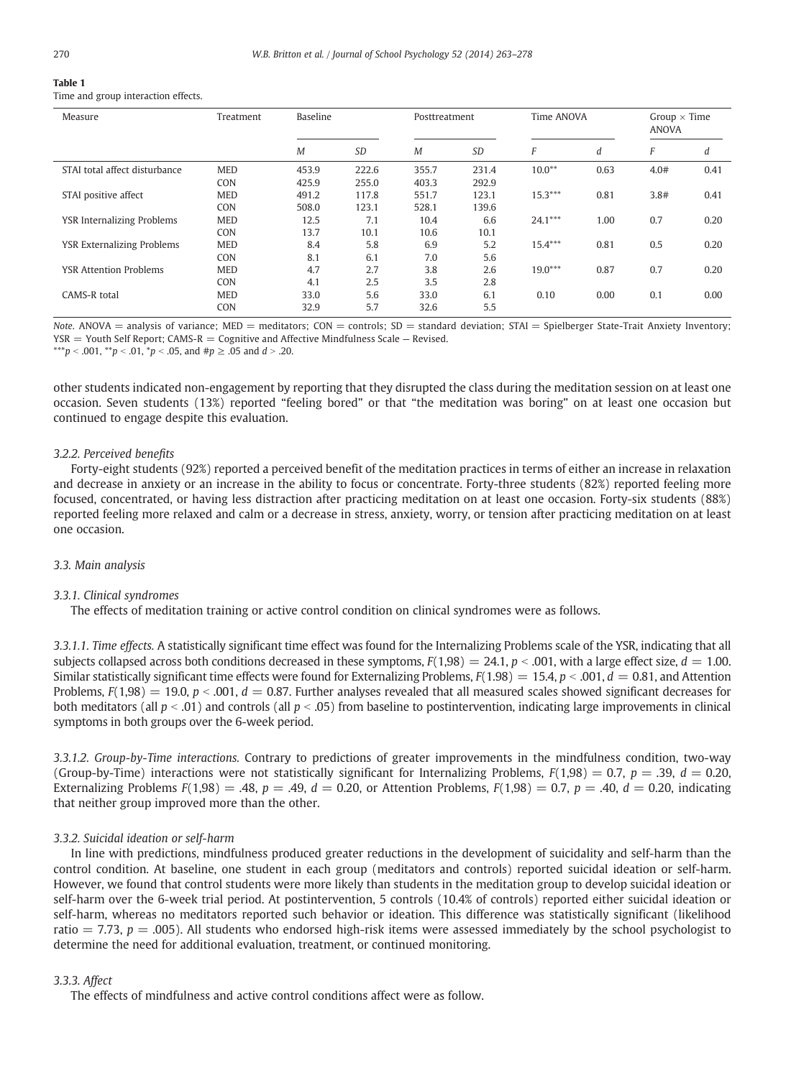# <span id="page-7-0"></span>Table 1

Time and group interaction effects.

| Measure                           | Treatment  | Baseline |       | Posttreatment |           | Time ANOVA |      | Group $\times$ Time<br>ANOVA |      |
|-----------------------------------|------------|----------|-------|---------------|-----------|------------|------|------------------------------|------|
|                                   |            | M        | SD    | M             | <b>SD</b> | F          | d    | F                            | d    |
| STAI total affect disturbance     | <b>MED</b> | 453.9    | 222.6 | 355.7         | 231.4     | $10.0**$   | 0.63 | 4.0#                         | 0.41 |
|                                   | <b>CON</b> | 425.9    | 255.0 | 403.3         | 292.9     |            |      |                              |      |
| STAI positive affect              | <b>MED</b> | 491.2    | 117.8 | 551.7         | 123.1     | $15.3***$  | 0.81 | 3.8#                         | 0.41 |
|                                   | <b>CON</b> | 508.0    | 123.1 | 528.1         | 139.6     |            |      |                              |      |
| YSR Internalizing Problems        | <b>MED</b> | 12.5     | 7.1   | 10.4          | 6.6       | $24.1***$  | 1.00 | 0.7                          | 0.20 |
|                                   | <b>CON</b> | 13.7     | 10.1  | 10.6          | 10.1      |            |      |                              |      |
| <b>YSR Externalizing Problems</b> | <b>MED</b> | 8.4      | 5.8   | 6.9           | 5.2       | $15.4***$  | 0.81 | 0.5                          | 0.20 |
|                                   | <b>CON</b> | 8.1      | 6.1   | 7.0           | 5.6       |            |      |                              |      |
| <b>YSR Attention Problems</b>     | <b>MED</b> | 4.7      | 2.7   | 3.8           | 2.6       | $19.0***$  | 0.87 | 0.7                          | 0.20 |
|                                   | CON        | 4.1      | 2.5   | 3.5           | 2.8       |            |      |                              |      |
| CAMS-R total                      | <b>MED</b> | 33.0     | 5.6   | 33.0          | 6.1       | 0.10       | 0.00 | 0.1                          | 0.00 |
|                                   | <b>CON</b> | 32.9     | 5.7   | 32.6          | 5.5       |            |      |                              |      |

Note. ANOVA = analysis of variance; MED = meditators; CON = controls; SD = standard deviation; STAI = Spielberger State-Trait Anxiety Inventory;  $YSR =$  Youth Self Report; CAMS-R = Cognitive and Affective Mindfulness Scale – Revised.

\*\*\*p < .001, \*\*p < .01, \*p < .05, and #p  $\ge$  .05 and d > .20.

other students indicated non-engagement by reporting that they disrupted the class during the meditation session on at least one occasion. Seven students (13%) reported "feeling bored" or that "the meditation was boring" on at least one occasion but continued to engage despite this evaluation.

# 3.2.2. Perceived benefits

Forty-eight students (92%) reported a perceived benefit of the meditation practices in terms of either an increase in relaxation and decrease in anxiety or an increase in the ability to focus or concentrate. Forty-three students (82%) reported feeling more focused, concentrated, or having less distraction after practicing meditation on at least one occasion. Forty-six students (88%) reported feeling more relaxed and calm or a decrease in stress, anxiety, worry, or tension after practicing meditation on at least one occasion.

# 3.3. Main analysis

#### 3.3.1. Clinical syndromes

The effects of meditation training or active control condition on clinical syndromes were as follows.

3.3.1.1. Time effects. A statistically significant time effect was found for the Internalizing Problems scale of the YSR, indicating that all subjects collapsed across both conditions decreased in these symptoms,  $F(1.98) = 24.1$ ,  $p < .001$ , with a large effect size,  $d = 1.00$ . Similar statistically significant time effects were found for Externalizing Problems,  $F(1.98) = 15.4$ ,  $p < .001$ ,  $d = 0.81$ , and Attention Problems,  $F(1,98) = 19.0$ ,  $p < .001$ ,  $d = 0.87$ . Further analyses revealed that all measured scales showed significant decreases for both meditators (all  $p < .01$ ) and controls (all  $p < .05$ ) from baseline to postintervention, indicating large improvements in clinical symptoms in both groups over the 6-week period.

3.3.1.2. Group-by-Time interactions. Contrary to predictions of greater improvements in the mindfulness condition, two-way (Group-by-Time) interactions were not statistically significant for Internalizing Problems,  $F(1,98) = 0.7$ ,  $p = .39$ ,  $d = 0.20$ , Externalizing Problems  $F(1,98) = .48$ ,  $p = .49$ ,  $d = 0.20$ , or Attention Problems,  $F(1,98) = 0.7$ ,  $p = .40$ ,  $d = 0.20$ , indicating that neither group improved more than the other.

# 3.3.2. Suicidal ideation or self-harm

In line with predictions, mindfulness produced greater reductions in the development of suicidality and self-harm than the control condition. At baseline, one student in each group (meditators and controls) reported suicidal ideation or self-harm. However, we found that control students were more likely than students in the meditation group to develop suicidal ideation or self-harm over the 6-week trial period. At postintervention, 5 controls (10.4% of controls) reported either suicidal ideation or self-harm, whereas no meditators reported such behavior or ideation. This difference was statistically significant (likelihood ratio  $= 7.73$ ,  $p = .005$ ). All students who endorsed high-risk items were assessed immediately by the school psychologist to determine the need for additional evaluation, treatment, or continued monitoring.

# 3.3.3. Affect

The effects of mindfulness and active control conditions affect were as follow.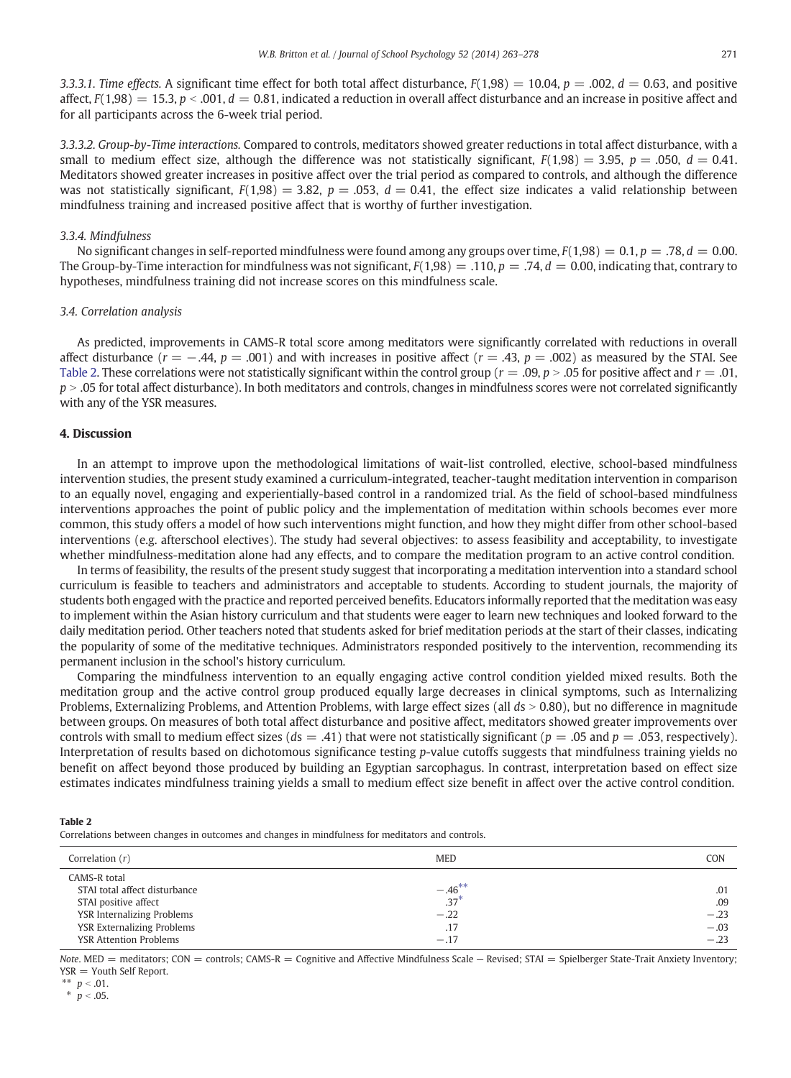3.3.3.1. Time effects. A significant time effect for both total affect disturbance,  $F(1,98) = 10.04$ ,  $p = .002$ ,  $d = 0.63$ , and positive affect,  $F(1,98) = 15.3$ ,  $p < .001$ ,  $d = 0.81$ , indicated a reduction in overall affect disturbance and an increase in positive affect and for all participants across the 6-week trial period.

3.3.3.2. Group-by-Time interactions. Compared to controls, meditators showed greater reductions in total affect disturbance, with a small to medium effect size, although the difference was not statistically significant,  $F(1,98) = 3.95$ ,  $p = .050$ ,  $d = 0.41$ . Meditators showed greater increases in positive affect over the trial period as compared to controls, and although the difference was not statistically significant,  $F(1,98) = 3.82$ ,  $p = .053$ ,  $d = 0.41$ , the effect size indicates a valid relationship between mindfulness training and increased positive affect that is worthy of further investigation.

#### 3.3.4. Mindfulness

No significant changes in self-reported mindfulness were found among any groups over time,  $F(1.98) = 0.1$ ,  $p = .78$ ,  $d = 0.00$ . The Group-by-Time interaction for mindfulness was not significant,  $F(1.98) = .110$ ,  $p = .74$ ,  $d = 0.00$ , indicating that, contrary to hypotheses, mindfulness training did not increase scores on this mindfulness scale.

#### 3.4. Correlation analysis

As predicted, improvements in CAMS-R total score among meditators were significantly correlated with reductions in overall affect disturbance ( $r = -.44$ ,  $p = .001$ ) and with increases in positive affect ( $r = .43$ ,  $p = .002$ ) as measured by the STAI. See Table 2. These correlations were not statistically significant within the control group ( $r = .09$ ,  $p > .05$  for positive affect and  $r = .01$ ,  $p > 0.05$  for total affect disturbance). In both meditators and controls, changes in mindfulness scores were not correlated significantly with any of the YSR measures.

# 4. Discussion

In an attempt to improve upon the methodological limitations of wait-list controlled, elective, school-based mindfulness intervention studies, the present study examined a curriculum-integrated, teacher-taught meditation intervention in comparison to an equally novel, engaging and experientially-based control in a randomized trial. As the field of school-based mindfulness interventions approaches the point of public policy and the implementation of meditation within schools becomes ever more common, this study offers a model of how such interventions might function, and how they might differ from other school-based interventions (e.g. afterschool electives). The study had several objectives: to assess feasibility and acceptability, to investigate whether mindfulness-meditation alone had any effects, and to compare the meditation program to an active control condition.

In terms of feasibility, the results of the present study suggest that incorporating a meditation intervention into a standard school curriculum is feasible to teachers and administrators and acceptable to students. According to student journals, the majority of students both engaged with the practice and reported perceived benefits. Educators informally reported that the meditation was easy to implement within the Asian history curriculum and that students were eager to learn new techniques and looked forward to the daily meditation period. Other teachers noted that students asked for brief meditation periods at the start of their classes, indicating the popularity of some of the meditative techniques. Administrators responded positively to the intervention, recommending its permanent inclusion in the school's history curriculum.

Comparing the mindfulness intervention to an equally engaging active control condition yielded mixed results. Both the meditation group and the active control group produced equally large decreases in clinical symptoms, such as Internalizing Problems, Externalizing Problems, and Attention Problems, with large effect sizes (all  $ds > 0.80$ ), but no difference in magnitude between groups. On measures of both total affect disturbance and positive affect, meditators showed greater improvements over controls with small to medium effect sizes (ds = .41) that were not statistically significant ( $p = .05$  and  $p = .053$ , respectively). Interpretation of results based on dichotomous significance testing p-value cutoffs suggests that mindfulness training yields no benefit on affect beyond those produced by building an Egyptian sarcophagus. In contrast, interpretation based on effect size estimates indicates mindfulness training yields a small to medium effect size benefit in affect over the active control condition.

#### Table 2

Correlations between changes in outcomes and changes in mindfulness for meditators and controls.

| Correlation $(r)$                                                                                                                                                         | <b>MED</b>                                     | <b>CON</b>                               |
|---------------------------------------------------------------------------------------------------------------------------------------------------------------------------|------------------------------------------------|------------------------------------------|
| CAMS-R total<br>STAI total affect disturbance<br>STAI positive affect<br>YSR Internalizing Problems<br><b>YSR Externalizing Problems</b><br><b>YSR Attention Problems</b> | $-.46***$<br>$.37*$<br>$-.22$<br>.17<br>$-.17$ | .01<br>.09<br>$-.23$<br>$-.03$<br>$-.23$ |

Note. MED = meditators; CON = controls; CAMS-R = Cognitive and Affective Mindfulness Scale - Revised; STAI = Spielberger State-Trait Anxiety Inventory;  $YSR =$  Youth Self Report.

\*\*  $p < .01$ .

 $p < .05$ .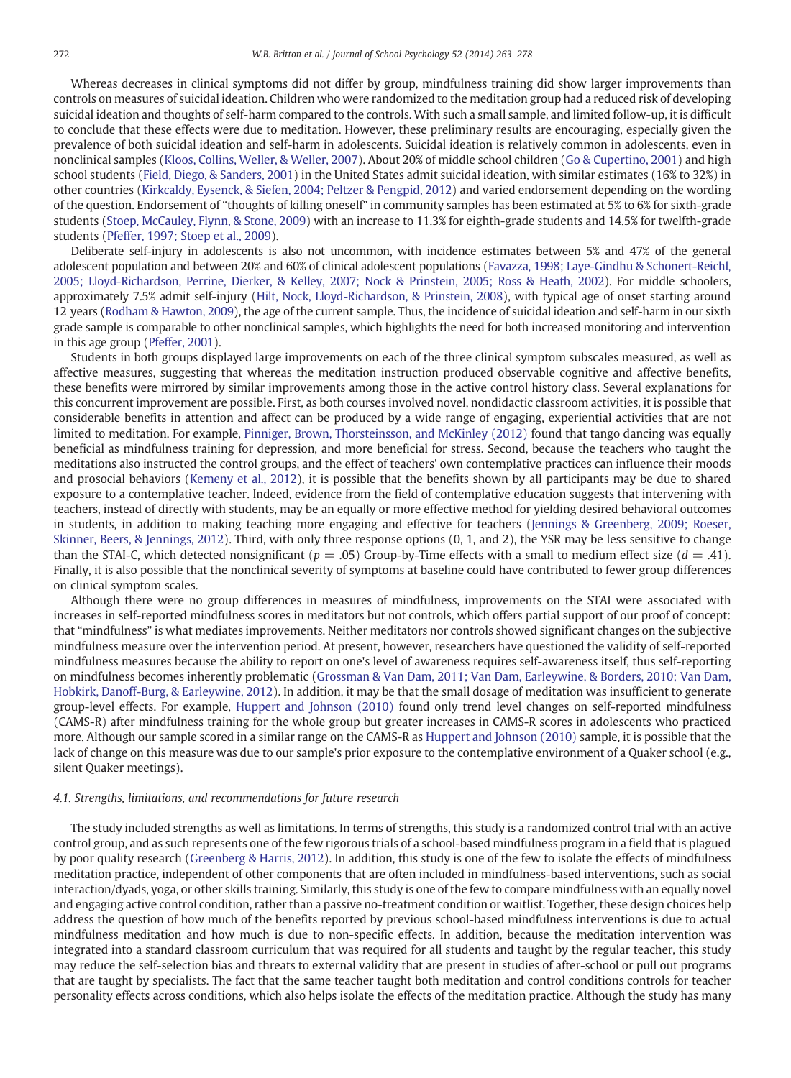Whereas decreases in clinical symptoms did not differ by group, mindfulness training did show larger improvements than controls on measures of suicidal ideation. Children who were randomized to the meditation group had a reduced risk of developing suicidal ideation and thoughts of self-harm compared to the controls. With such a small sample, and limited follow-up, it is difficult to conclude that these effects were due to meditation. However, these preliminary results are encouraging, especially given the prevalence of both suicidal ideation and self-harm in adolescents. Suicidal ideation is relatively common in adolescents, even in nonclinical samples [\(Kloos, Collins, Weller, & Weller, 2007](#page-13-0)). About 20% of middle school children [\(Go & Cupertino, 2001](#page-13-0)) and high school students ([Field, Diego, & Sanders, 2001\)](#page-13-0) in the United States admit suicidal ideation, with similar estimates (16% to 32%) in other countries ([Kirkcaldy, Eysenck, & Siefen, 2004; Peltzer & Pengpid, 2012\)](#page-13-0) and varied endorsement depending on the wording of the question. Endorsement of "thoughts of killing oneself" in community samples has been estimated at 5% to 6% for sixth-grade students [\(Stoep, McCauley, Flynn, & Stone, 2009\)](#page-15-0) with an increase to 11.3% for eighth-grade students and 14.5% for twelfth-grade students ([Pfeffer, 1997; Stoep et al., 2009\)](#page-14-0).

Deliberate self-injury in adolescents is also not uncommon, with incidence estimates between 5% and 47% of the general adolescent population and between 20% and 60% of clinical adolescent populations [\(Favazza, 1998; Laye-Gindhu & Schonert-Reichl,](#page-13-0) [2005; Lloyd-Richardson, Perrine, Dierker, & Kelley, 2007; Nock & Prinstein, 2005; Ross & Heath, 2002\)](#page-13-0). For middle schoolers, approximately 7.5% admit self-injury ([Hilt, Nock, Lloyd-Richardson, & Prinstein, 2008](#page-13-0)), with typical age of onset starting around 12 years [\(Rodham & Hawton, 2009\)](#page-14-0), the age of the current sample. Thus, the incidence of suicidal ideation and self-harm in our sixth grade sample is comparable to other nonclinical samples, which highlights the need for both increased monitoring and intervention in this age group [\(Pfeffer, 2001\)](#page-14-0).

Students in both groups displayed large improvements on each of the three clinical symptom subscales measured, as well as affective measures, suggesting that whereas the meditation instruction produced observable cognitive and affective benefits, these benefits were mirrored by similar improvements among those in the active control history class. Several explanations for this concurrent improvement are possible. First, as both courses involved novel, nondidactic classroom activities, it is possible that considerable benefits in attention and affect can be produced by a wide range of engaging, experiential activities that are not limited to meditation. For example, [Pinniger, Brown, Thorsteinsson, and McKinley \(2012\)](#page-14-0) found that tango dancing was equally beneficial as mindfulness training for depression, and more beneficial for stress. Second, because the teachers who taught the meditations also instructed the control groups, and the effect of teachers' own contemplative practices can influence their moods and prosocial behaviors ([Kemeny et al., 2012](#page-13-0)), it is possible that the benefits shown by all participants may be due to shared exposure to a contemplative teacher. Indeed, evidence from the field of contemplative education suggests that intervening with teachers, instead of directly with students, may be an equally or more effective method for yielding desired behavioral outcomes in students, in addition to making teaching more engaging and effective for teachers ([Jennings & Greenberg, 2009; Roeser,](#page-13-0) [Skinner, Beers, & Jennings, 2012](#page-13-0)). Third, with only three response options (0, 1, and 2), the YSR may be less sensitive to change than the STAI-C, which detected nonsignificant ( $p = .05$ ) Group-by-Time effects with a small to medium effect size ( $d = .41$ ). Finally, it is also possible that the nonclinical severity of symptoms at baseline could have contributed to fewer group differences on clinical symptom scales.

Although there were no group differences in measures of mindfulness, improvements on the STAI were associated with increases in self-reported mindfulness scores in meditators but not controls, which offers partial support of our proof of concept: that "mindfulness" is what mediates improvements. Neither meditators nor controls showed significant changes on the subjective mindfulness measure over the intervention period. At present, however, researchers have questioned the validity of self-reported mindfulness measures because the ability to report on one's level of awareness requires self-awareness itself, thus self-reporting on mindfulness becomes inherently problematic ([Grossman & Van Dam, 2011; Van Dam, Earleywine, & Borders, 2010; Van Dam,](#page-13-0) [Hobkirk, Danoff-Burg, & Earleywine, 2012\)](#page-13-0). In addition, it may be that the small dosage of meditation was insufficient to generate group-level effects. For example, [Huppert and Johnson \(2010\)](#page-13-0) found only trend level changes on self-reported mindfulness (CAMS-R) after mindfulness training for the whole group but greater increases in CAMS-R scores in adolescents who practiced more. Although our sample scored in a similar range on the CAMS-R as [Huppert and Johnson \(2010\)](#page-13-0) sample, it is possible that the lack of change on this measure was due to our sample's prior exposure to the contemplative environment of a Quaker school (e.g., silent Quaker meetings).

# 4.1. Strengths, limitations, and recommendations for future research

The study included strengths as well as limitations. In terms of strengths, this study is a randomized control trial with an active control group, and as such represents one of the few rigorous trials of a school-based mindfulness program in a field that is plagued by poor quality research ([Greenberg & Harris, 2012](#page-13-0)). In addition, this study is one of the few to isolate the effects of mindfulness meditation practice, independent of other components that are often included in mindfulness-based interventions, such as social interaction/dyads, yoga, or other skills training. Similarly, this study is one of the few to compare mindfulness with an equally novel and engaging active control condition, rather than a passive no-treatment condition or waitlist. Together, these design choices help address the question of how much of the benefits reported by previous school-based mindfulness interventions is due to actual mindfulness meditation and how much is due to non-specific effects. In addition, because the meditation intervention was integrated into a standard classroom curriculum that was required for all students and taught by the regular teacher, this study may reduce the self-selection bias and threats to external validity that are present in studies of after-school or pull out programs that are taught by specialists. The fact that the same teacher taught both meditation and control conditions controls for teacher personality effects across conditions, which also helps isolate the effects of the meditation practice. Although the study has many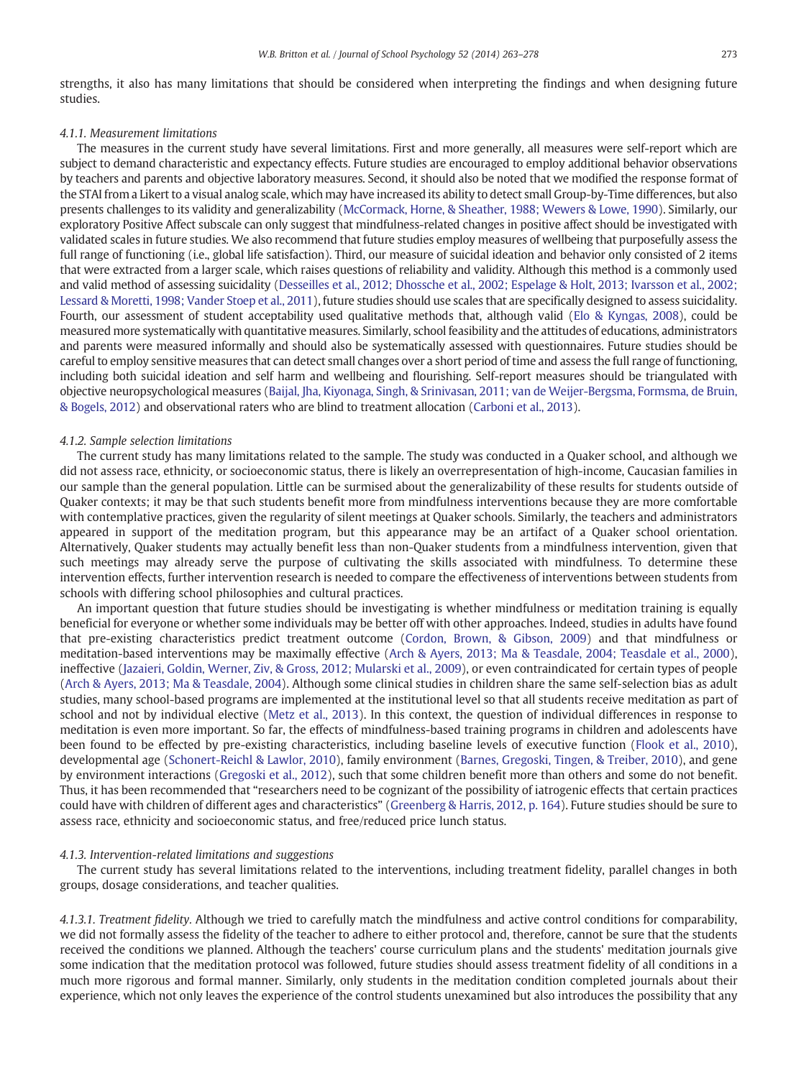strengths, it also has many limitations that should be considered when interpreting the findings and when designing future studies.

# 4.1.1. Measurement limitations

The measures in the current study have several limitations. First and more generally, all measures were self-report which are subject to demand characteristic and expectancy effects. Future studies are encouraged to employ additional behavior observations by teachers and parents and objective laboratory measures. Second, it should also be noted that we modified the response format of the STAI from a Likert to a visual analog scale, which may have increased its ability to detect small Group-by-Time differences, but also presents challenges to its validity and generalizability [\(McCormack, Horne, & Sheather, 1988; Wewers & Lowe, 1990\)](#page-14-0). Similarly, our exploratory Positive Affect subscale can only suggest that mindfulness-related changes in positive affect should be investigated with validated scales in future studies. We also recommend that future studies employ measures of wellbeing that purposefully assess the full range of functioning (i.e., global life satisfaction). Third, our measure of suicidal ideation and behavior only consisted of 2 items that were extracted from a larger scale, which raises questions of reliability and validity. Although this method is a commonly used and valid method of assessing suicidality ([Desseilles et al., 2012; Dhossche et al., 2002; Espelage & Holt, 2013; Ivarsson et al., 2002;](#page-13-0) [Lessard & Moretti, 1998; Vander Stoep et al., 2011](#page-13-0)), future studies should use scales that are specifically designed to assess suicidality. Fourth, our assessment of student acceptability used qualitative methods that, although valid ([Elo & Kyngas, 2008](#page-13-0)), could be measured more systematically with quantitative measures. Similarly, school feasibility and the attitudes of educations, administrators and parents were measured informally and should also be systematically assessed with questionnaires. Future studies should be careful to employ sensitive measures that can detect small changes over a short period of time and assess the full range of functioning, including both suicidal ideation and self harm and wellbeing and flourishing. Self-report measures should be triangulated with objective neuropsychological measures [\(Baijal, Jha, Kiyonaga, Singh, & Srinivasan, 2011; van de Weijer-Bergsma, Formsma, de Bruin,](#page-12-0) [& Bogels, 2012](#page-12-0)) and observational raters who are blind to treatment allocation ([Carboni et al., 2013](#page-12-0)).

# 4.1.2. Sample selection limitations

The current study has many limitations related to the sample. The study was conducted in a Quaker school, and although we did not assess race, ethnicity, or socioeconomic status, there is likely an overrepresentation of high-income, Caucasian families in our sample than the general population. Little can be surmised about the generalizability of these results for students outside of Quaker contexts; it may be that such students benefit more from mindfulness interventions because they are more comfortable with contemplative practices, given the regularity of silent meetings at Quaker schools. Similarly, the teachers and administrators appeared in support of the meditation program, but this appearance may be an artifact of a Quaker school orientation. Alternatively, Quaker students may actually benefit less than non-Quaker students from a mindfulness intervention, given that such meetings may already serve the purpose of cultivating the skills associated with mindfulness. To determine these intervention effects, further intervention research is needed to compare the effectiveness of interventions between students from schools with differing school philosophies and cultural practices.

An important question that future studies should be investigating is whether mindfulness or meditation training is equally beneficial for everyone or whether some individuals may be better off with other approaches. Indeed, studies in adults have found that pre-existing characteristics predict treatment outcome [\(Cordon, Brown, & Gibson, 2009\)](#page-12-0) and that mindfulness or meditation-based interventions may be maximally effective ([Arch & Ayers, 2013; Ma & Teasdale, 2004; Teasdale et al., 2000](#page-12-0)), ineffective ([Jazaieri, Goldin, Werner, Ziv, & Gross, 2012; Mularski et al., 2009](#page-13-0)), or even contraindicated for certain types of people ([Arch & Ayers, 2013; Ma & Teasdale, 2004\)](#page-12-0). Although some clinical studies in children share the same self-selection bias as adult studies, many school-based programs are implemented at the institutional level so that all students receive meditation as part of school and not by individual elective ([Metz et al., 2013\)](#page-14-0). In this context, the question of individual differences in response to meditation is even more important. So far, the effects of mindfulness-based training programs in children and adolescents have been found to be effected by pre-existing characteristics, including baseline levels of executive function [\(Flook et al., 2010](#page-13-0)), developmental age [\(Schonert-Reichl & Lawlor, 2010](#page-15-0)), family environment ([Barnes, Gregoski, Tingen, & Treiber, 2010\)](#page-12-0), and gene by environment interactions [\(Gregoski et al., 2012](#page-13-0)), such that some children benefit more than others and some do not benefit. Thus, it has been recommended that "researchers need to be cognizant of the possibility of iatrogenic effects that certain practices could have with children of different ages and characteristics" ([Greenberg & Harris, 2012, p. 164\)](#page-13-0). Future studies should be sure to assess race, ethnicity and socioeconomic status, and free/reduced price lunch status.

# 4.1.3. Intervention-related limitations and suggestions

The current study has several limitations related to the interventions, including treatment fidelity, parallel changes in both groups, dosage considerations, and teacher qualities.

4.1.3.1. Treatment fidelity. Although we tried to carefully match the mindfulness and active control conditions for comparability, we did not formally assess the fidelity of the teacher to adhere to either protocol and, therefore, cannot be sure that the students received the conditions we planned. Although the teachers' course curriculum plans and the students' meditation journals give some indication that the meditation protocol was followed, future studies should assess treatment fidelity of all conditions in a much more rigorous and formal manner. Similarly, only students in the meditation condition completed journals about their experience, which not only leaves the experience of the control students unexamined but also introduces the possibility that any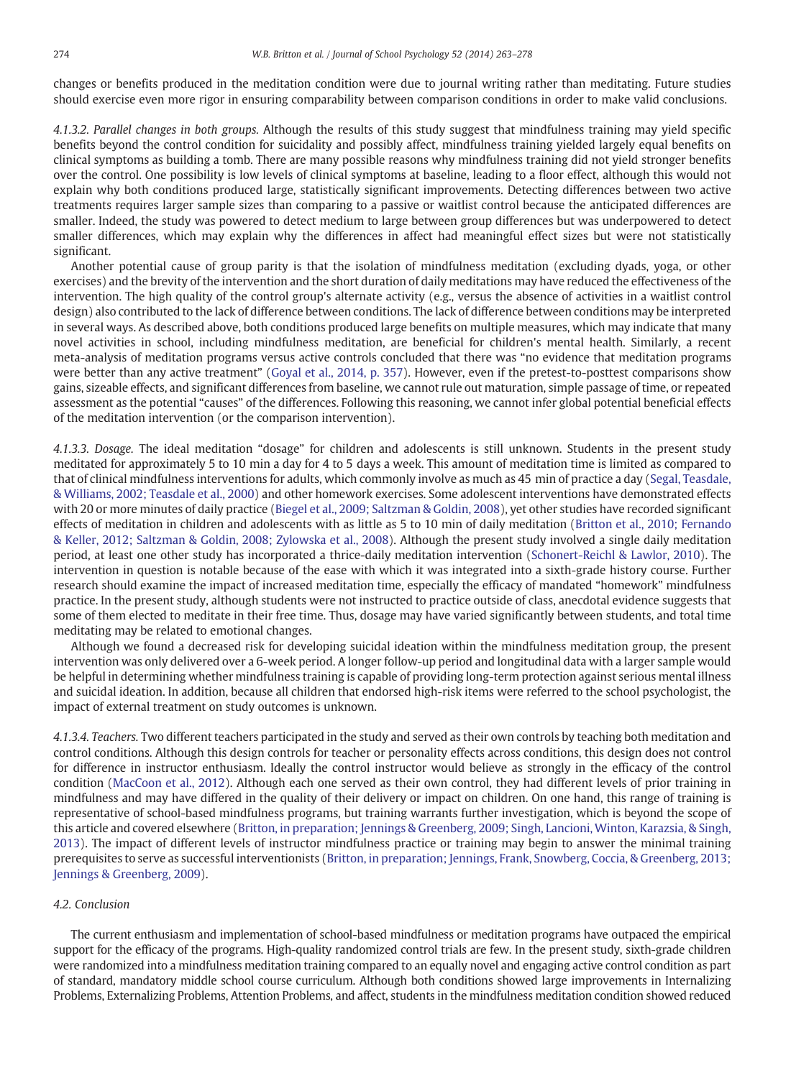changes or benefits produced in the meditation condition were due to journal writing rather than meditating. Future studies should exercise even more rigor in ensuring comparability between comparison conditions in order to make valid conclusions.

4.1.3.2. Parallel changes in both groups. Although the results of this study suggest that mindfulness training may yield specific benefits beyond the control condition for suicidality and possibly affect, mindfulness training yielded largely equal benefits on clinical symptoms as building a tomb. There are many possible reasons why mindfulness training did not yield stronger benefits over the control. One possibility is low levels of clinical symptoms at baseline, leading to a floor effect, although this would not explain why both conditions produced large, statistically significant improvements. Detecting differences between two active treatments requires larger sample sizes than comparing to a passive or waitlist control because the anticipated differences are smaller. Indeed, the study was powered to detect medium to large between group differences but was underpowered to detect smaller differences, which may explain why the differences in affect had meaningful effect sizes but were not statistically significant.

Another potential cause of group parity is that the isolation of mindfulness meditation (excluding dyads, yoga, or other exercises) and the brevity of the intervention and the short duration of daily meditations may have reduced the effectiveness of the intervention. The high quality of the control group's alternate activity (e.g., versus the absence of activities in a waitlist control design) also contributed to the lack of difference between conditions. The lack of difference between conditions may be interpreted in several ways. As described above, both conditions produced large benefits on multiple measures, which may indicate that many novel activities in school, including mindfulness meditation, are beneficial for children's mental health. Similarly, a recent meta-analysis of meditation programs versus active controls concluded that there was "no evidence that meditation programs were better than any active treatment" ([Goyal et al., 2014, p. 357](#page-13-0)). However, even if the pretest-to-posttest comparisons show gains, sizeable effects, and significant differences from baseline, we cannot rule out maturation, simple passage of time, or repeated assessment as the potential "causes" of the differences. Following this reasoning, we cannot infer global potential beneficial effects of the meditation intervention (or the comparison intervention).

4.1.3.3. Dosage. The ideal meditation "dosage" for children and adolescents is still unknown. Students in the present study meditated for approximately 5 to 10 min a day for 4 to 5 days a week. This amount of meditation time is limited as compared to that of clinical mindfulness interventions for adults, which commonly involve as much as 45 min of practice a day ([Segal, Teasdale,](#page-15-0) [& Williams, 2002; Teasdale et al., 2000\)](#page-15-0) and other homework exercises. Some adolescent interventions have demonstrated effects with 20 or more minutes of daily practice ([Biegel et al., 2009; Saltzman & Goldin, 2008](#page-12-0)), yet other studies have recorded significant effects of meditation in children and adolescents with as little as 5 to 10 min of daily meditation ([Britton et al., 2010; Fernando](#page-12-0) [& Keller, 2012; Saltzman & Goldin, 2008; Zylowska et al., 2008](#page-12-0)). Although the present study involved a single daily meditation period, at least one other study has incorporated a thrice-daily meditation intervention ([Schonert-Reichl & Lawlor, 2010\)](#page-15-0). The intervention in question is notable because of the ease with which it was integrated into a sixth-grade history course. Further research should examine the impact of increased meditation time, especially the efficacy of mandated "homework" mindfulness practice. In the present study, although students were not instructed to practice outside of class, anecdotal evidence suggests that some of them elected to meditate in their free time. Thus, dosage may have varied significantly between students, and total time meditating may be related to emotional changes.

Although we found a decreased risk for developing suicidal ideation within the mindfulness meditation group, the present intervention was only delivered over a 6-week period. A longer follow-up period and longitudinal data with a larger sample would be helpful in determining whether mindfulness training is capable of providing long-term protection against serious mental illness and suicidal ideation. In addition, because all children that endorsed high-risk items were referred to the school psychologist, the impact of external treatment on study outcomes is unknown.

4.1.3.4. Teachers. Two different teachers participated in the study and served as their own controls by teaching both meditation and control conditions. Although this design controls for teacher or personality effects across conditions, this design does not control for difference in instructor enthusiasm. Ideally the control instructor would believe as strongly in the efficacy of the control condition ([MacCoon et al., 2012\)](#page-14-0). Although each one served as their own control, they had different levels of prior training in mindfulness and may have differed in the quality of their delivery or impact on children. On one hand, this range of training is representative of school-based mindfulness programs, but training warrants further investigation, which is beyond the scope of this article and covered elsewhere ([Britton, in preparation; Jennings & Greenberg, 2009; Singh, Lancioni, Winton, Karazsia, & Singh,](#page-12-0) [2013](#page-12-0)). The impact of different levels of instructor mindfulness practice or training may begin to answer the minimal training prerequisites to serve as successful interventionists ([Britton, in preparation; Jennings, Frank, Snowberg, Coccia, & Greenberg, 2013;](#page-12-0) [Jennings & Greenberg, 2009\)](#page-12-0).

# 4.2. Conclusion

The current enthusiasm and implementation of school-based mindfulness or meditation programs have outpaced the empirical support for the efficacy of the programs. High-quality randomized control trials are few. In the present study, sixth-grade children were randomized into a mindfulness meditation training compared to an equally novel and engaging active control condition as part of standard, mandatory middle school course curriculum. Although both conditions showed large improvements in Internalizing Problems, Externalizing Problems, Attention Problems, and affect, students in the mindfulness meditation condition showed reduced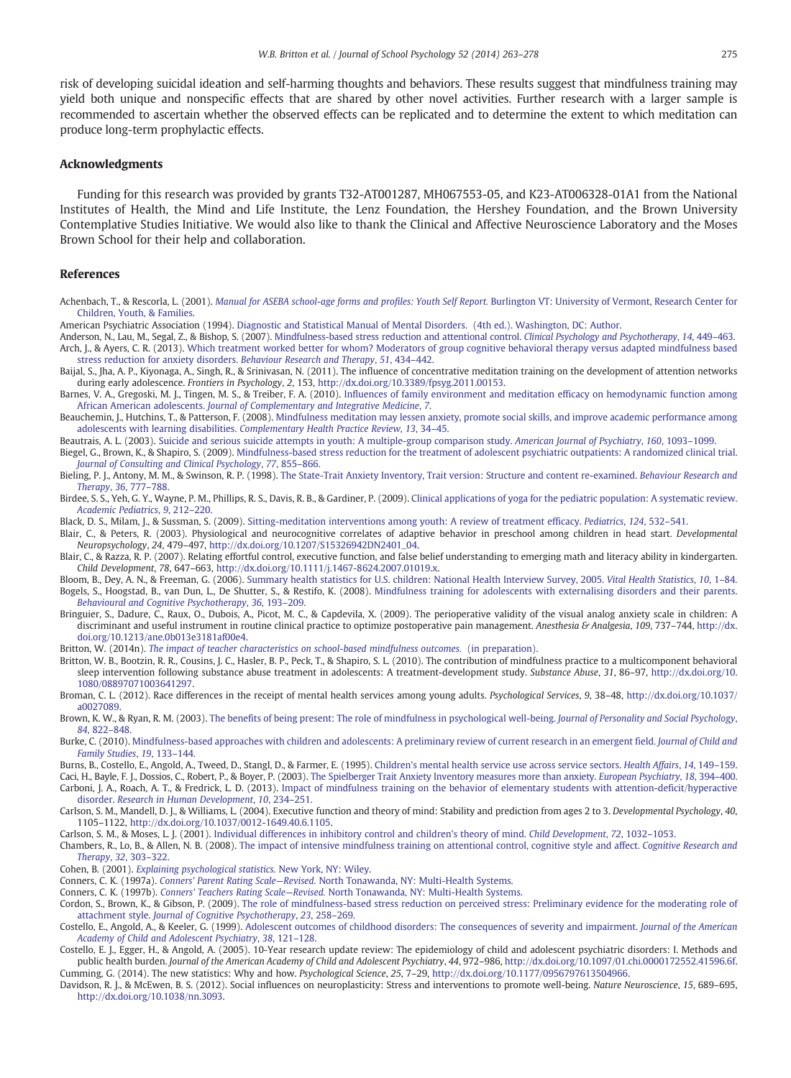<span id="page-12-0"></span>risk of developing suicidal ideation and self-harming thoughts and behaviors. These results suggest that mindfulness training may yield both unique and nonspecific effects that are shared by other novel activities. Further research with a larger sample is recommended to ascertain whether the observed effects can be replicated and to determine the extent to which meditation can produce long-term prophylactic effects.

# Acknowledgments

Funding for this research was provided by grants T32-AT001287, MH067553-05, and K23-AT006328-01A1 from the National Institutes of Health, the Mind and Life Institute, the Lenz Foundation, the Hershey Foundation, and the Brown University Contemplative Studies Initiative. We would also like to thank the Clinical and Affective Neuroscience Laboratory and the Moses Brown School for their help and collaboration.

# References

- Achenbach, T., & Rescorla, L. (2001). [Manual for ASEBA school-age forms and profiles: Youth Self Report.](http://refhub.elsevier.com/S0022-4405(14)00029-6/rf0790) Burlington VT: University of Vermont, Research Center for [Children, Youth, & Families.](http://refhub.elsevier.com/S0022-4405(14)00029-6/rf0790)
- American Psychiatric Association (1994). [Diagnostic and Statistical Manual of Mental Disorders. \(4th ed.\). Washington, DC: Author.](http://refhub.elsevier.com/S0022-4405(14)00029-6/rf0795)
- Anderson, N., Lau, M., Segal, Z., & Bishop, S. (2007). [Mindfulness-based stress reduction and attentional control.](http://refhub.elsevier.com/S0022-4405(14)00029-6/rf0010) Clinical Psychology and Psychotherapy, 14, 449–463. Arch, J., & Ayers, C. R. (2013). [Which treatment worked better for whom? Moderators of group cognitive behavioral therapy versus adapted mindfulness based](http://refhub.elsevier.com/S0022-4405(14)00029-6/rf0015) [stress reduction for anxiety disorders.](http://refhub.elsevier.com/S0022-4405(14)00029-6/rf0015) Behaviour Research and Therapy, 51, 434–442.
- Baijal, S., Jha, A. P., Kiyonaga, A., Singh, R., & Srinivasan, N. (2011). The influence of concentrative meditation training on the development of attention networks during early adolescence. Frontiers in Psychology, 2, 153, http://dx.doi.org[/10.3389/fpsyg.2011.00153](http://dx.doi.org/10.3389/fpsyg.2011.00153).
- Barnes, V. A., Gregoski, M. J., Tingen, M. S., & Treiber, F. A. (2010). [Influences of family environment and meditation efficacy on hemodynamic function among](http://refhub.elsevier.com/S0022-4405(14)00029-6/rf0025) African American adolescents. [Journal of Complementary and Integrative Medicine](http://refhub.elsevier.com/S0022-4405(14)00029-6/rf0025), 7.
- Beauchemin, J., Hutchins, T., & Patterson, F. (2008). [Mindfulness meditation may lessen anxiety, promote social skills, and improve academic performance among](http://refhub.elsevier.com/S0022-4405(14)00029-6/rf0030) adolescents with learning disabilities. [Complementary Health Practice Review](http://refhub.elsevier.com/S0022-4405(14)00029-6/rf0030), 13, 34–45.
- Beautrais, A. L. (2003). [Suicide and serious suicide attempts in youth: A multiple-group comparison study.](http://refhub.elsevier.com/S0022-4405(14)00029-6/rf0035) American Journal of Psychiatry, 160, 1093–1099.
- Biegel, G., Brown, K., & Shapiro, S. (2009). [Mindfulness-based stress reduction for the treatment of adolescent psychiatric outpatients: A randomized clinical trial.](http://refhub.elsevier.com/S0022-4405(14)00029-6/rf0040) [Journal of Consulting and Clinical Psychology](http://refhub.elsevier.com/S0022-4405(14)00029-6/rf0040), 77, 855–866.
- Bieling, P. J., Antony, M. M., & Swinson, R. P. (1998). [The State-Trait Anxiety Inventory, Trait version: Structure and content re-examined.](http://refhub.elsevier.com/S0022-4405(14)00029-6/rf0045) Behaviour Research and [Therapy](http://refhub.elsevier.com/S0022-4405(14)00029-6/rf0045), 36, 777–788.
- Birdee, S. S., Yeh, G. Y., Wayne, P. M., Phillips, R. S., Davis, R. B., & Gardiner, P. (2009). [Clinical applications of yoga for the pediatric population: A systematic review.](http://refhub.elsevier.com/S0022-4405(14)00029-6/rf0050) [Academic Pediatrics](http://refhub.elsevier.com/S0022-4405(14)00029-6/rf0050), 9, 212–220.
- Black, D. S., Milam, J., & Sussman, S. (2009). [Sitting-meditation interventions among youth: A review of treatment efficacy.](http://refhub.elsevier.com/S0022-4405(14)00029-6/rf0055) Pediatrics, 124, 532–541.
- Blair, C., & Peters, R. (2003). Physiological and neurocognitive correlates of adaptive behavior in preschool among children in head start. Developmental Neuropsychology, 24, 479–497, http://dx.doi.org/[10.1207/S15326942DN2401\\_04](http://dx.doi.org/10.1207/S15326942DN2401_04).
- Blair, C., & Razza, R. P. (2007). Relating effortful control, executive function, and false belief understanding to emerging math and literacy ability in kindergarten. Child Development, 78, 647–663, http://dx.doi.org[/10.1111/j.1467-8624.2007.01019.x](http://dx.doi.org/10.1111/j.1467-8624.2007.01019.x).
- Bloom, B., Dey, A. N., & Freeman, G. (2006). [Summary health statistics for U.S. children: National Health Interview Survey, 2005.](http://refhub.elsevier.com/S0022-4405(14)00029-6/rf0070) Vital Health Statistics, 10, 1–84. Bogels, S., Hoogstad, B., van Dun, L., De Shutter, S., & Restifo, K. (2008). [Mindfulness training for adolescents with externalising disorders and their parents.](http://refhub.elsevier.com/S0022-4405(14)00029-6/rf0075) [Behavioural and Cognitive Psychotherapy](http://refhub.elsevier.com/S0022-4405(14)00029-6/rf0075), 36, 193–209.
- Bringuier, S., Dadure, C., Raux, O., Dubois, A., Picot, M. C., & Capdevila, X. (2009). The perioperative validity of the visual analog anxiety scale in children: A discriminant and useful instrument in routine clinical practice to optimize postoperative pain management. Anesthesia & Analgesia, 109, 737-744, http://dx. doi.org/[10.1213/ane.0b013e3181af00e4](http://dx.doi.org/10.1213/ane.0b013e3181af00e4).

Britton, W. (2014n). [The impact of teacher characteristics on school-based mindfulness outcomes.](http://refhub.elsevier.com/S0022-4405(14)00029-6/rf0800) (in preparation).

- Britton, W. B., Bootzin, R. R., Cousins, J. C., Hasler, B. P., Peck, T., & Shapiro, S. L. (2010). The contribution of mindfulness practice to a multicomponent behavioral sleep intervention following substance abuse treatment in adolescents: A treatment-development study. Substance Abuse, 31, 86–97, http://dx.doi.org/[10.](http://dx.doi.org/10.1080/08897071003641297) [1080/08897071003641297](http://dx.doi.org/10.1080/08897071003641297).
- Broman, C. L. (2012). Race differences in the receipt of mental health services among young adults. Psychological Services, 9, 38–48, http://dx.doi.org/[10.1037/](http://dx.doi.org/10.1037/a0027089) [a0027089](http://dx.doi.org/10.1037/a0027089).
- Brown, K. W., & Ryan, R. M. (2003). [The benefits of being present: The role of mindfulness in psychological well-being.](http://refhub.elsevier.com/S0022-4405(14)00029-6/rf0095) Journal of Personality and Social Psychology, 84[, 822](http://refhub.elsevier.com/S0022-4405(14)00029-6/rf0095)–848.
- Burke, C. (2010). [Mindfulness-based approaches with children and adolescents: A preliminary review of current research in an emergent field.](http://refhub.elsevier.com/S0022-4405(14)00029-6/rf0100) Journal of Child and [Family Studies](http://refhub.elsevier.com/S0022-4405(14)00029-6/rf0100), 19, 133–144.
- Burns, B., Costello, E., Angold, A., Tweed, D., Stangl, D., & Farmer, E. (1995). [Children's mental health service use across service sectors.](http://refhub.elsevier.com/S0022-4405(14)00029-6/rf0105) Health Affairs, 14, 149-159. Caci, H., Bayle, F. J., Dossios, C., Robert, P., & Boyer, P. (2003). [The Spielberger Trait Anxiety Inventory measures more than anxiety.](http://refhub.elsevier.com/S0022-4405(14)00029-6/rf0110) European Psychiatry, 18, 394–400.
- Carboni, J. A., Roach, A. T., & Fredrick, L. D. (2013). [Impact of mindfulness training on the behavior of elementary students with attention-deficit/hyperactive](http://refhub.elsevier.com/S0022-4405(14)00029-6/rf0115) disorder. [Research in Human Development](http://refhub.elsevier.com/S0022-4405(14)00029-6/rf0115), 10, 234–251.
- Carlson, S. M., Mandell, D. J., & Williams, L. (2004). Executive function and theory of mind: Stability and prediction from ages 2 to 3. Developmental Psychology, 40, 1105–1122, http://dx.doi.org/[10.1037/0012-1649.40.6.1105.](http://dx.doi.org/10.1037/0012-1649.40.6.1105)
- Carlson, S. M., & Moses, L. J. (2001). [Individual differences in inhibitory control and children's theory of mind.](http://refhub.elsevier.com/S0022-4405(14)00029-6/rf0125) Child Development, 72, 1032–1053.
- Chambers, R., Lo, B., & Allen, N. B. (2008). [The impact of intensive mindfulness training on attentional control, cognitive style and affect.](http://refhub.elsevier.com/S0022-4405(14)00029-6/rf0130) Cognitive Research and [Therapy](http://refhub.elsevier.com/S0022-4405(14)00029-6/rf0130), 32, 303–322.
- Cohen, B. (2001). [Explaining psychological statistics.](http://refhub.elsevier.com/S0022-4405(14)00029-6/rf0135) New York, NY: Wiley.
- Conners, C. K. (1997a). Conners' Parent Rating Scale—Revised. [North Tonawanda, NY: Multi-Health Systems.](http://refhub.elsevier.com/S0022-4405(14)00029-6/rf0140)
- Conners, C. K. (1997b). Conners' Teachers Rating Scale—Revised. [North Tonawanda, NY: Multi-Health Systems.](http://refhub.elsevier.com/S0022-4405(14)00029-6/rf0145)
- Cordon, S., Brown, K., & Gibson, P. (2009). [The role of mindfulness-based stress reduction on perceived stress: Preliminary evidence for the moderating role of](http://refhub.elsevier.com/S0022-4405(14)00029-6/rf0165) attachment style. [Journal of Cognitive Psychotherapy](http://refhub.elsevier.com/S0022-4405(14)00029-6/rf0165), 23, 258–269.
- Costello, E., Angold, A., & Keeler, G. (1999). [Adolescent outcomes of childhood disorders: The consequences of severity and impairment.](http://refhub.elsevier.com/S0022-4405(14)00029-6/rf0170) Journal of the American [Academy of Child and Adolescent Psychiatry](http://refhub.elsevier.com/S0022-4405(14)00029-6/rf0170), 38, 121–128.
- Costello, E. J., Egger, H., & Angold, A. (2005). 10-Year research update review: The epidemiology of child and adolescent psychiatric disorders: I. Methods and public health burden. Journal of the American Academy of Child and Adolescent Psychiatry, 44, 972–986, http://dx.doi.org/[10.1097/01.chi.0000172552.41596.6f](http://dx.doi.org/10.1097/01.chi.0000172552.41596.6f). Cumming, G. (2014). The new statistics: Why and how. Psychological Science, 25, 7–29, http://dx.doi.org/[10.1177/0956797613504966](http://dx.doi.org/10.1177/0956797613504966).
- Davidson, R. J., & McEwen, B. S. (2012). Social influences on neuroplasticity: Stress and interventions to promote well-being. Nature Neuroscience, 15, 689-695, http://dx.doi.org/[10.1038/nn.3093](http://dx.doi.org/10.1038/nn.3093).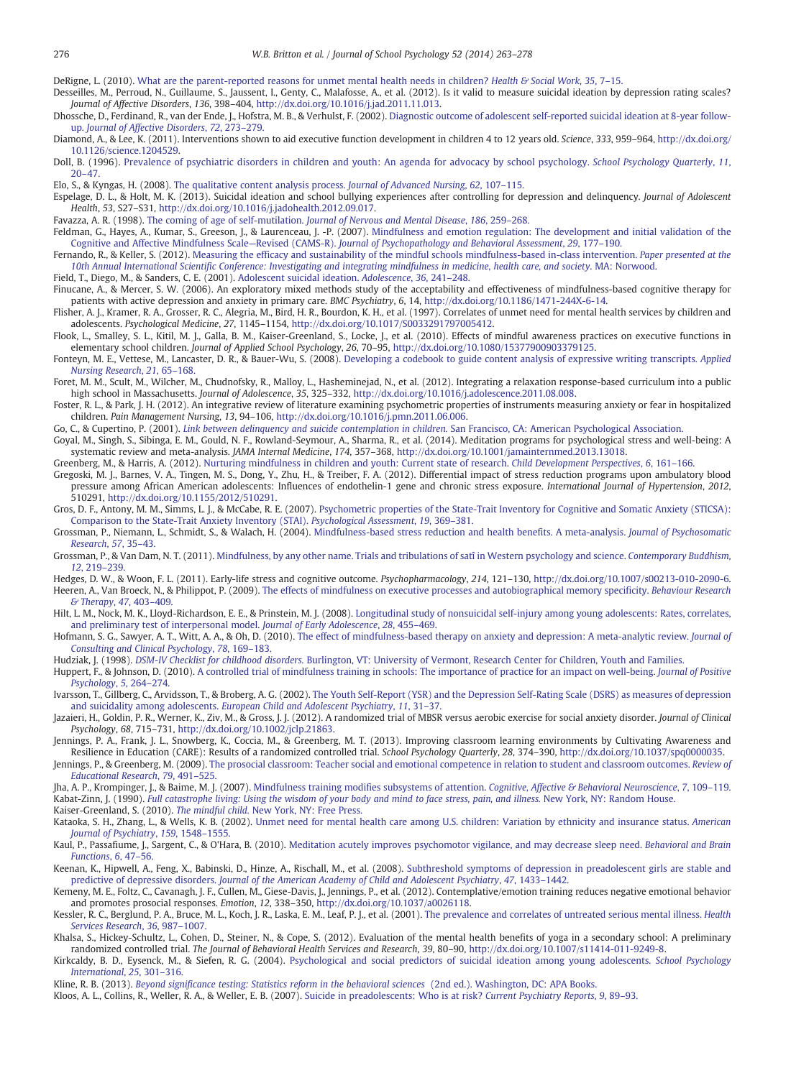<span id="page-13-0"></span>DeRigne, L. (2010). [What are the parent-reported reasons for unmet mental health needs in children?](http://refhub.elsevier.com/S0022-4405(14)00029-6/rf0185) Health & Social Work, 35, 7-15.

- Desseilles, M., Perroud, N., Guillaume, S., Jaussent, I., Genty, C., Malafosse, A., et al. (2012). Is it valid to measure suicidal ideation by depression rating scales? Journal of Affective Disorders, 136, 398–404, http://dx.doi.org[/10.1016/j.jad.2011.11.013](http://dx.doi.org/10.1016/j.jad.2011.11.013).
- Dhossche, D., Ferdinand, R., van der Ende, J., Hofstra, M. B., & Verhulst, F. (2002). [Diagnostic outcome of adolescent self-reported suicidal ideation at 8-year follow](http://refhub.elsevier.com/S0022-4405(14)00029-6/rf0195)up. [Journal of Affective Disorders](http://refhub.elsevier.com/S0022-4405(14)00029-6/rf0195), 72, 273–279.
- Diamond, A., & Lee, K. (2011). Interventions shown to aid executive function development in children 4 to 12 years old. Science, 333, 959–964, http://dx.doi.org/ [10.1126/science.1204529.](http://dx.doi.org/10.1126/science.1204529)
- Doll, B. (1996). [Prevalence of psychiatric disorders in children and youth: An agenda for advocacy by school psychology.](http://refhub.elsevier.com/S0022-4405(14)00029-6/rf0805) School Psychology Quarterly, 11,  $20 - 47$
- Elo, S., & Kyngas, H. (2008). [The qualitative content analysis process.](http://refhub.elsevier.com/S0022-4405(14)00029-6/rf0205) Journal of Advanced Nursing, 62, 107–115.
- Espelage, D. L., & Holt, M. K. (2013). Suicidal ideation and school bullying experiences after controlling for depression and delinquency. Journal of Adolescent Health, 53, S27–S31, http://dx.doi.org/[10.1016/j.jadohealth.2012.09.017](http://dx.doi.org/10.1016/j.jadohealth.2012.09.017).
- Favazza, A. R. (1998). The coming of age of self-mutilation. [Journal of Nervous and Mental Disease](http://refhub.elsevier.com/S0022-4405(14)00029-6/rf0215), 186, 259–268.
- Feldman, G., Hayes, A., Kumar, S., Greeson, J., & Laurenceau, J. -P. (2007). [Mindfulness and emotion regulation: The development and initial validation of the](http://refhub.elsevier.com/S0022-4405(14)00029-6/rf0220) Cognitive and Affective Mindfulness Scale—Revised (CAMS-R). [Journal of Psychopathology and Behavioral Assessment](http://refhub.elsevier.com/S0022-4405(14)00029-6/rf0220), 29, 177–190.
- Fernando, R., & Keller, S. (2012). [Measuring the efficacy and sustainability of the mindful schools mindfulness-based in-class intervention.](http://refhub.elsevier.com/S0022-4405(14)00029-6/rf0225) Paper presented at the [10th Annual International Scientific Conference: Investigating and integrating mindfulness in medicine, health care, and society](http://refhub.elsevier.com/S0022-4405(14)00029-6/rf0225). MA: Norwood.

Field, T., Diego, M., & Sanders, C. E. (2001). [Adolescent suicidal ideation.](http://refhub.elsevier.com/S0022-4405(14)00029-6/rf0230) Adolescence, 36, 241–248.

- Finucane, A., & Mercer, S. W. (2006). An exploratory mixed methods study of the acceptability and effectiveness of mindfulness-based cognitive therapy for patients with active depression and anxiety in primary care. BMC Psychiatry, 6, 14, http://dx.doi.org/[10.1186/1471-244X-6-14.](http://dx.doi.org/10.1186/1471-244X-6-14)
- Flisher, A. J., Kramer, R. A., Grosser, R. C., Alegria, M., Bird, H. R., Bourdon, K. H., et al. (1997). Correlates of unmet need for mental health services by children and adolescents. Psychological Medicine, 27, 1145–1154, http://dx.doi.org[/10.1017/S0033291797005412.](http://dx.doi.org/10.1017/S0033291797005412)
- Flook, L., Smalley, S. L., Kitil, M. J., Galla, B. M., Kaiser-Greenland, S., Locke, J., et al. (2010). Effects of mindful awareness practices on executive functions in elementary school children. Journal of Applied School Psychology, 26, 70–95, http://dx.doi.org/[10.1080/15377900903379125.](http://dx.doi.org/10.1080/15377900903379125)
- Fonteyn, M. E., Vettese, M., Lancaster, D. R., & Bauer-Wu, S. (2008). [Developing a codebook to guide content analysis of expressive writing transcripts.](http://refhub.elsevier.com/S0022-4405(14)00029-6/rf0245) Applied [Nursing Research](http://refhub.elsevier.com/S0022-4405(14)00029-6/rf0245), 21, 65–168.
- Foret, M. M., Scult, M., Wilcher, M., Chudnofsky, R., Malloy, L., Hasheminejad, N., et al. (2012). Integrating a relaxation response-based curriculum into a public high school in Massachusetts. Journal of Adolescence, 35, 325–332, http://dx.doi.org/[10.1016/j.adolescence.2011.08.008](http://dx.doi.org/10.1016/j.adolescence.2011.08.008).
- Foster, R. L., & Park, J. H. (2012). An integrative review of literature examining psychometric properties of instruments measuring anxiety or fear in hospitalized children. Pain Management Nursing, 13, 94–106, http://dx.doi.org/[10.1016/j.pmn.2011.06.006.](http://dx.doi.org/10.1016/j.pmn.2011.06.006)
- Go, C., & Cupertino, P. (2001). [Link between delinquency and suicide contemplation in children.](http://refhub.elsevier.com/S0022-4405(14)00029-6/rf0260) San Francisco, CA: American Psychological Association.
- Goyal, M., Singh, S., Sibinga, E. M., Gould, N. F., Rowland-Seymour, A., Sharma, R., et al. (2014). Meditation programs for psychological stress and well-being: A systematic review and meta-analysis. JAMA Internal Medicine, 174, 357–368, http://dx.doi.org/[10.1001/jamainternmed.2013.13018](http://dx.doi.org/10.1001/jamainternmed.2013.13018).
- Greenberg, M., & Harris, A. (2012). [Nurturing mindfulness in children and youth: Current state of research.](http://refhub.elsevier.com/S0022-4405(14)00029-6/rf0270) Child Development Perspectives, 6, 161–166.
- Gregoski, M. J., Barnes, V. A., Tingen, M. S., Dong, Y., Zhu, H., & Treiber, F. A. (2012). Differential impact of stress reduction programs upon ambulatory blood pressure among African American adolescents: Influences of endothelin-1 gene and chronic stress exposure. International Journal of Hypertension, 2012, 510291, http://dx.doi.org/[10.1155/2012/510291](http://dx.doi.org/10.1155/2012/510291).
- Gros, D. F., Antony, M. M., Simms, L. J., & McCabe, R. E. (2007). [Psychometric properties of the State-Trait Inventory for Cognitive and Somatic Anxiety \(STICSA\):](http://refhub.elsevier.com/S0022-4405(14)00029-6/rf0280) [Comparison to the State-Trait Anxiety Inventory \(STAI\).](http://refhub.elsevier.com/S0022-4405(14)00029-6/rf0280) Psychological Assessment, 19, 369–381.
- Grossman, P., Niemann, L., Schmidt, S., & Walach, H. (2004). [Mindfulness-based stress reduction and health benefits. A meta-analysis.](http://refhub.elsevier.com/S0022-4405(14)00029-6/rf0285) Journal of Psychosomatic [Research](http://refhub.elsevier.com/S0022-4405(14)00029-6/rf0285), 57, 35–43.
- Grossman, P., & Van Dam, N. T. (2011). [Mindfulness, by any other name. Trials and tribulations of satî in Western psychology and science.](http://refhub.elsevier.com/S0022-4405(14)00029-6/rf0290) Contemporary Buddhism, 12[, 219](http://refhub.elsevier.com/S0022-4405(14)00029-6/rf0290)–239.
- Hedges, D. W., & Woon, F. L. (2011). Early-life stress and cognitive outcome. Psychopharmacology, 214, 121–130, http://dx.doi.org/[10.1007/s00213-010-2090-6.](http://dx.doi.org/10.1007/s00213-010-2090-6) Heeren, A., Van Broeck, N., & Philippot, P. (2009). [The effects of mindfulness on executive processes and autobiographical memory specificity.](http://refhub.elsevier.com/S0022-4405(14)00029-6/rf0300) Behaviour Research [& Therapy](http://refhub.elsevier.com/S0022-4405(14)00029-6/rf0300), 47, 403–409.
- Hilt, L. M., Nock, M. K., Lloyd-Richardson, E. E., & Prinstein, M. J. (2008). [Longitudinal study of nonsuicidal self-injury among young adolescents: Rates, correlates,](http://refhub.elsevier.com/S0022-4405(14)00029-6/rf0305) [and preliminary test of interpersonal model.](http://refhub.elsevier.com/S0022-4405(14)00029-6/rf0305) Journal of Early Adolescence, 28, 455–469.
- Hofmann, S. G., Sawyer, A. T., Witt, A. A., & Oh, D. (2010). [The effect of mindfulness-based therapy on anxiety and depression: A meta-analytic review.](http://refhub.elsevier.com/S0022-4405(14)00029-6/rf0310) Journal of [Consulting and Clinical Psychology](http://refhub.elsevier.com/S0022-4405(14)00029-6/rf0310), 78, 169–183.
- Hudziak, J. (1998). DSM-IV Checklist for childhood disorders. [Burlington, VT: University of Vermont, Research Center for Children, Youth and Families.](http://refhub.elsevier.com/S0022-4405(14)00029-6/rf0155)

Huppert, F., & Johnson, D. (2010). [A controlled trial of mindfulness training in schools: The importance of practice for an impact on well-being.](http://refhub.elsevier.com/S0022-4405(14)00029-6/rf0320) Journal of Positive [Psychology](http://refhub.elsevier.com/S0022-4405(14)00029-6/rf0320), 5, 264–274.

- Ivarsson, T., Gillberg, C., Arvidsson, T., & Broberg, A. G. (2002). [The Youth Self-Report \(YSR\) and the Depression Self-Rating Scale \(DSRS\) as measures of depression](http://refhub.elsevier.com/S0022-4405(14)00029-6/rf0325) and suicidality among adolescents. [European Child and Adolescent Psychiatry](http://refhub.elsevier.com/S0022-4405(14)00029-6/rf0325), 11, 31–37.
- Jazaieri, H., Goldin, P. R., Werner, K., Ziv, M., & Gross, J. J. (2012). A randomized trial of MBSR versus aerobic exercise for social anxiety disorder. Journal of Clinical Psychology, 68, 715–731, http://dx.doi.org/[10.1002/jclp.21863](http://dx.doi.org/10.1002/jclp.21863).
- Jennings, P. A., Frank, J. L., Snowberg, K., Coccia, M., & Greenberg, M. T. (2013). Improving classroom learning environments by Cultivating Awareness and Resilience in Education (CARE): Results of a randomized controlled trial. School Psychology Quarterly, 28, 374-390, http://dx.doi.org/[10.1037/spq0000035](http://dx.doi.org/10.1037/spq0000035).
- Jennings, P., & Greenberg, M. (2009). [The prosocial classroom: Teacher social and emotional competence in relation to student and classroom outcomes.](http://refhub.elsevier.com/S0022-4405(14)00029-6/rf0335) Review of [Educational Research](http://refhub.elsevier.com/S0022-4405(14)00029-6/rf0335), 79, 491–525.
- Jha, A. P., Krompinger, J., & Baime, M. J. (2007). [Mindfulness training modifies subsystems of attention.](http://refhub.elsevier.com/S0022-4405(14)00029-6/rf0345) Cognitive, Affective & Behavioral Neuroscience, 7, 109–119. Kabat-Zinn, J. (1990). [Full catastrophe living: Using the wisdom of your body and mind to face stress, pain, and illness.](http://refhub.elsevier.com/S0022-4405(14)00029-6/rf0350) New York, NY: Random House.
- Kaiser-Greenland, S. (2010). The mindful child. [New York, NY: Free Press.](http://refhub.elsevier.com/S0022-4405(14)00029-6/rf0355)
- Kataoka, S. H., Zhang, L., & Wells, K. B. (2002). [Unmet need for mental health care among U.S. children: Variation by ethnicity and insurance status.](http://refhub.elsevier.com/S0022-4405(14)00029-6/rf0815) American [Journal of Psychiatry](http://refhub.elsevier.com/S0022-4405(14)00029-6/rf0815), 159, 1548–1555.
- Kaul, P., Passafiume, J., Sargent, C., & O'Hara, B. (2010). [Meditation acutely improves psychomotor vigilance, and may decrease sleep need.](http://refhub.elsevier.com/S0022-4405(14)00029-6/rf0360) Behavioral and Brain [Functions](http://refhub.elsevier.com/S0022-4405(14)00029-6/rf0360), 6, 47–56.
- Keenan, K., Hipwell, A., Feng, X., Babinski, D., Hinze, A., Rischall, M., et al. (2008). [Subthreshold symptoms of depression in preadolescent girls are stable and](http://refhub.elsevier.com/S0022-4405(14)00029-6/rf0365) predictive of depressive disorders. [Journal of the American Academy of Child and Adolescent Psychiatry](http://refhub.elsevier.com/S0022-4405(14)00029-6/rf0365), 47, 1433–1442.
- Kemeny, M. E., Foltz, C., Cavanagh, J. F., Cullen, M., Giese-Davis, J., Jennings, P., et al. (2012). Contemplative/emotion training reduces negative emotional behavior and promotes prosocial responses. Emotion, 12, 338–350, http://dx.doi.org[/10.1037/a0026118.](http://dx.doi.org/10.1037/a0026118)
- Kessler, R. C., Berglund, P. A., Bruce, M. L., Koch, J. R., Laska, E. M., Leaf, P. J., et al. (2001). [The prevalence and correlates of untreated serious mental illness.](http://refhub.elsevier.com/S0022-4405(14)00029-6/rf0375) Health [Services Research](http://refhub.elsevier.com/S0022-4405(14)00029-6/rf0375), 36, 987–1007.
- Khalsa, S., Hickey-Schultz, L., Cohen, D., Steiner, N., & Cope, S. (2012). Evaluation of the mental health benefits of yoga in a secondary school: A preliminary randomized controlled trial. The Journal of Behavioral Health Services and Research, 39, 80–90, http://dx.doi.org[/10.1007/s11414-011-9249-8](http://dx.doi.org/10.1007/s11414-011-9249-8).
- Kirkcaldy, B. D., Eysenck, M., & Siefen, R. G. (2004). [Psychological and social predictors of suicidal ideation among young adolescents.](http://refhub.elsevier.com/S0022-4405(14)00029-6/rf0385) School Psychology [International](http://refhub.elsevier.com/S0022-4405(14)00029-6/rf0385), 25, 301–316.

Kline, R. B. (2013). [Beyond significance testing: Statistics reform in the behavioral sciences](http://refhub.elsevier.com/S0022-4405(14)00029-6/rf0390) (2nd ed.). Washington, DC: APA Books.

Kloos, A. L., Collins, R., Weller, R. A., & Weller, E. B. (2007). [Suicide in preadolescents: Who is at risk?](http://refhub.elsevier.com/S0022-4405(14)00029-6/rf0395) Current Psychiatry Reports, 9, 89–93.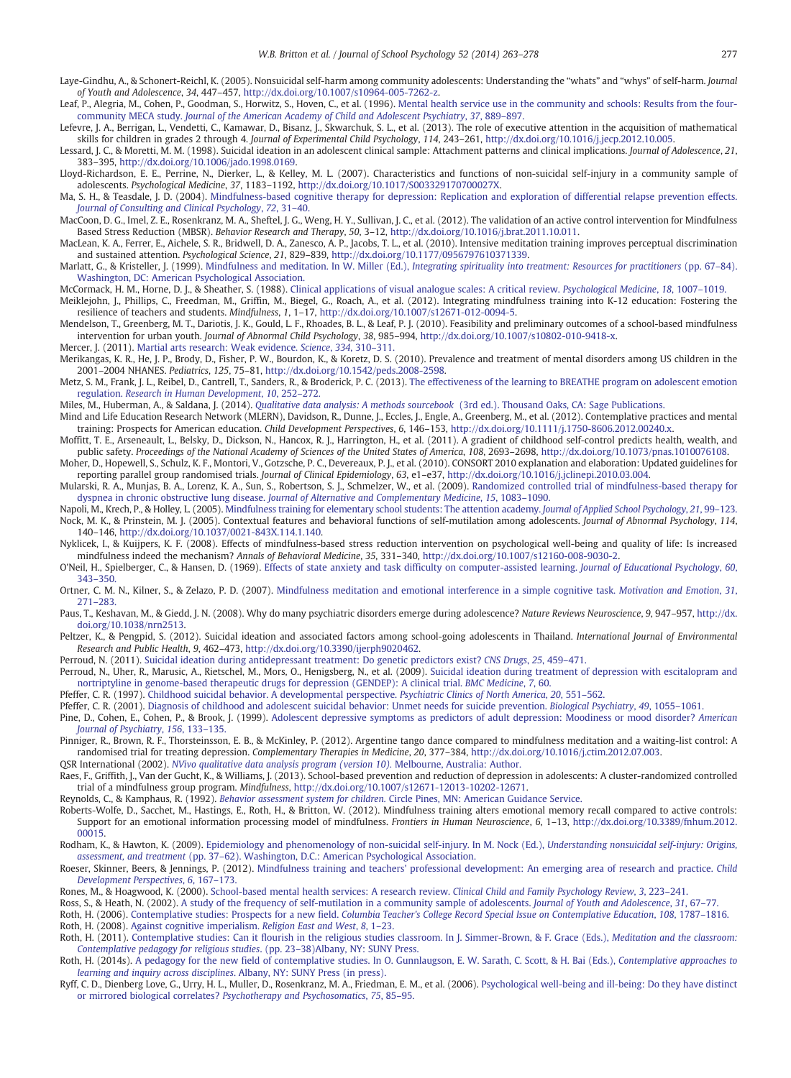- <span id="page-14-0"></span>Laye-Gindhu, A., & Schonert-Reichl, K. (2005). Nonsuicidal self-harm among community adolescents: Understanding the "whats" and "whys" of self-harm. Journal of Youth and Adolescence, 34, 447–457, http://dx.doi.org[/10.1007/s10964-005-7262-z](http://dx.doi.org/10.1007/s10964-005-7262-z).
- Leaf, P., Alegria, M., Cohen, P., Goodman, S., Horwitz, S., Hoven, C., et al. (1996). [Mental health service use in the community and schools: Results from the four](http://refhub.elsevier.com/S0022-4405(14)00029-6/rf0405)community MECA study. [Journal of the American Academy of Child and Adolescent Psychiatry](http://refhub.elsevier.com/S0022-4405(14)00029-6/rf0405), 37, 889–897.
- Lefevre, J. A., Berrigan, L., Vendetti, C., Kamawar, D., Bisanz, J., Skwarchuk, S. L., et al. (2013). The role of executive attention in the acquisition of mathematical skills for children in grades 2 through 4. Journal of Experimental Child Psychology, 114, 243–261, http://dx.doi.org/[10.1016/j.jecp.2012.10.005](http://dx.doi.org/10.1016/j.jecp.2012.10.005).
- Lessard, J. C., & Moretti, M. M. (1998). Suicidal ideation in an adolescent clinical sample: Attachment patterns and clinical implications. Journal of Adolescence, 21, 383–395, http://dx.doi.org/[10.1006/jado.1998.0169](http://dx.doi.org/10.1006/jado.1998.0169).
- Lloyd-Richardson, E. E., Perrine, N., Dierker, L., & Kelley, M. L. (2007). Characteristics and functions of non-suicidal self-injury in a community sample of adolescents. Psychological Medicine, 37, 1183–1192, http://dx.doi.org/[10.1017/S003329170700027X.](http://dx.doi.org/10.1017/S003329170700027X)
- Ma, S. H., & Teasdale, J. D. (2004). [Mindfulness-based cognitive therapy for depression: Replication and exploration of differential relapse prevention effects.](http://refhub.elsevier.com/S0022-4405(14)00029-6/rf0425) [Journal of Consulting and Clinical Psychology](http://refhub.elsevier.com/S0022-4405(14)00029-6/rf0425), 72, 31–40.
- MacCoon, D. G., Imel, Z. E., Rosenkranz, M. A., Sheftel, J. G., Weng, H. Y., Sullivan, J. C., et al. (2012). The validation of an active control intervention for Mindfulness Based Stress Reduction (MBSR). Behavior Research and Therapy, 50, 3–12, http://dx.doi.org[/10.1016/j.brat.2011.10.011](http://dx.doi.org/10.1016/j.brat.2011.10.011).
- MacLean, K. A., Ferrer, E., Aichele, S. R., Bridwell, D. A., Zanesco, A. P., Jacobs, T. L., et al. (2010). Intensive meditation training improves perceptual discrimination and sustained attention. Psychological Science, 21, 829–839, http://dx.doi.org/[10.1177/0956797610371339.](http://dx.doi.org/10.1177/0956797610371339)
- Marlatt, G., & Kristeller, J. (1999). Mindfulness and meditation. In W. Miller (Ed.), [Integrating spirituality into treatment: Resources for practitioners](http://refhub.elsevier.com/S0022-4405(14)00029-6/rf0440) (pp. 67-84). [Washington, DC: American Psychological Association.](http://refhub.elsevier.com/S0022-4405(14)00029-6/rf0440)
- McCormack, H. M., Horne, D. J., & Sheather, S. (1988). [Clinical applications of visual analogue scales: A critical review.](http://refhub.elsevier.com/S0022-4405(14)00029-6/rf0445) Psychological Medicine, 18, 1007–1019. Meiklejohn, J., Phillips, C., Freedman, M., Griffin, M., Biegel, G., Roach, A., et al. (2012). Integrating mindfulness training into K-12 education: Fostering the resilience of teachers and students. Mindfulness, 1, 1–17, http://dx.doi.org/[10.1007/s12671-012-0094-5](http://dx.doi.org/10.1007/s12671-012-0094-5).
- Mendelson, T., Greenberg, M. T., Dariotis, J. K., Gould, L. F., Rhoades, B. L., & Leaf, P. J. (2010). Feasibility and preliminary outcomes of a school-based mindfulness intervention for urban youth. Journal of Abnormal Child Psychology, 38, 985–994, http://dx.doi.org/[10.1007/s10802-010-9418-x.](http://dx.doi.org/10.1007/s10802-010-9418-x)
- Mercer, J. (2011). [Martial arts research: Weak evidence.](http://refhub.elsevier.com/S0022-4405(14)00029-6/rf0460) Science, 334, 310–311. Merikangas, K. R., He, J. P., Brody, D., Fisher, P. W., Bourdon, K., & Koretz, D. S. (2010). Prevalence and treatment of mental disorders among US children in the 2001–2004 NHANES. Pediatrics, 125, 75–81, http://dx.doi.org[/10.1542/peds.2008-2598.](http://dx.doi.org/10.1542/peds.2008-2598)
- Metz, S. M., Frank, J. L., Reibel, D., Cantrell, T., Sanders, R., & Broderick, P. C. (2013). [The effectiveness of the learning to BREATHE program on adolescent emotion](http://refhub.elsevier.com/S0022-4405(14)00029-6/rf0470) regulation. [Research in Human Development](http://refhub.elsevier.com/S0022-4405(14)00029-6/rf0470), 10, 252–272.
- Miles, M., Huberman, A., & Saldana, J. (2014). Qualitative data analysis: A methods sourcebook [\(3rd ed.\). Thousand Oaks, CA: Sage Publications.](http://refhub.elsevier.com/S0022-4405(14)00029-6/rf0480)
- Mind and Life Education Research Network (MLERN), Davidson, R., Dunne, J., Eccles, J., Engle, A., Greenberg, M., et al. (2012). Contemplative practices and mental training: Prospects for American education. Child Development Perspectives, 6, 146–153, http://dx.doi.org/[10.1111/j.1750-8606.2012.00240.x](http://dx.doi.org/10.1111/j.1750-8606.2012.00240.x).
- Moffitt, T. E., Arseneault, L., Belsky, D., Dickson, N., Hancox, R. J., Harrington, H., et al. (2011). A gradient of childhood self-control predicts health, wealth, and public safety. Proceedings of the National Academy of Sciences of the United States of America, 108, 2693–2698, http://dx.doi.org/[10.1073/pnas.1010076108](http://dx.doi.org/10.1073/pnas.1010076108).
- Moher, D., Hopewell, S., Schulz, K. F., Montori, V., Gotzsche, P. C., Devereaux, P. J., et al. (2010). CONSORT 2010 explanation and elaboration: Updated guidelines for reporting parallel group randomised trials. Journal of Clinical Epidemiology, 63, e1–e37, http://dx.doi.org[/10.1016/j.jclinepi.2010.03.004](http://dx.doi.org/10.1016/j.jclinepi.2010.03.004).
- Mularski, R. A., Munjas, B. A., Lorenz, K. A., Sun, S., Robertson, S. J., Schmelzer, W., et al. (2009). [Randomized controlled trial of mindfulness-based therapy for](http://refhub.elsevier.com/S0022-4405(14)00029-6/rf0490) dyspnea in chronic obstructive lung disease. [Journal of Alternative and Complementary Medicine](http://refhub.elsevier.com/S0022-4405(14)00029-6/rf0490), 15, 1083–1090.
- Napoli, M., Krech, P., & Holley, L. (2005). [Mindfulness training for elementary school students: The attention academy.](http://refhub.elsevier.com/S0022-4405(14)00029-6/rf0495) Journal of Applied School Psychology, 21, 99–123. Nock, M. K., & Prinstein, M. J. (2005). Contextual features and behavioral functions of self-mutilation among adolescents. Journal of Abnormal Psychology, 114, 140–146, http://dx.doi.org/[10.1037/0021-843X.114.1.140.](http://dx.doi.org/10.1037/0021-843X.114.1.140)
- Nyklicek, I., & Kuijpers, K. F. (2008). Effects of mindfulness-based stress reduction intervention on psychological well-being and quality of life: Is increased mindfulness indeed the mechanism? Annals of Behavioral Medicine, 35, 331–340, http://dx.doi.org[/10.1007/s12160-008-9030-2](http://dx.doi.org/10.1007/s12160-008-9030-2).
- O'Neil, H., Spielberger, C., & Hansen, D. (1969). [Effects of state anxiety and task difficulty on computer-assisted learning.](http://refhub.elsevier.com/S0022-4405(14)00029-6/rf0510) Journal of Educational Psychology, 60, 343–[350.](http://refhub.elsevier.com/S0022-4405(14)00029-6/rf0510)
- Ortner, C. M. N., Kilner, S., & Zelazo, P. D. (2007). [Mindfulness meditation and emotional interference in a simple cognitive task.](http://refhub.elsevier.com/S0022-4405(14)00029-6/rf0515) Motivation and Emotion, 31, 271–[283.](http://refhub.elsevier.com/S0022-4405(14)00029-6/rf0515)
- Paus, T., Keshavan, M., & Giedd, J. N. (2008). Why do many psychiatric disorders emerge during adolescence? Nature Reviews Neuroscience, 9, 947–957, http://dx. doi.org/[10.1038/nrn2513](http://dx.doi.org/10.1038/nrn2513).
- Peltzer, K., & Pengpid, S. (2012). Suicidal ideation and associated factors among school-going adolescents in Thailand. International Journal of Environmental Research and Public Health, 9, 462–473, http://dx.doi.org[/10.3390/ijerph9020462](http://dx.doi.org/10.3390/ijerph9020462).
- Perroud, N. (2011). [Suicidal ideation during antidepressant treatment: Do genetic predictors exist?](http://refhub.elsevier.com/S0022-4405(14)00029-6/rf0530) CNS Drugs, 25, 459–471.
- Perroud, N., Uher, R., Marusic, A., Rietschel, M., Mors, O., Henigsberg, N., et al. (2009). [Suicidal ideation during treatment of depression with escitalopram and](http://refhub.elsevier.com/S0022-4405(14)00029-6/rf0535) [nortriptyline in genome-based therapeutic drugs for depression \(GENDEP\): A clinical trial.](http://refhub.elsevier.com/S0022-4405(14)00029-6/rf0535) BMC Medicine, 7, 60.
- Pfeffer, C. R. (1997). [Childhood suicidal behavior. A developmental perspective.](http://refhub.elsevier.com/S0022-4405(14)00029-6/rf0540) Psychiatric Clinics of North America, 20, 551–562.
- Pfeffer, C. R. (2001). [Diagnosis of childhood and adolescent suicidal behavior: Unmet needs for suicide prevention.](http://refhub.elsevier.com/S0022-4405(14)00029-6/rf0545) Biological Psychiatry, 49, 1055–1061.
- Pine, D., Cohen, E., Cohen, P., & Brook, J. (1999). [Adolescent depressive symptoms as predictors of adult depression: Moodiness or mood disorder?](http://refhub.elsevier.com/S0022-4405(14)00029-6/rf0550) American [Journal of Psychiatry](http://refhub.elsevier.com/S0022-4405(14)00029-6/rf0550), 156, 133–135.
- Pinniger, R., Brown, R. F., Thorsteinsson, E. B., & McKinley, P. (2012). Argentine tango dance compared to mindfulness meditation and a waiting-list control: A randomised trial for treating depression. Complementary Therapies in Medicine, 20, 377–384, http://dx.doi.org/[10.1016/j.ctim.2012.07.003](http://dx.doi.org/10.1016/j.ctim.2012.07.003).
- QSR International (2002). [NVivo qualitative data analysis program \(version 10\).](http://refhub.elsevier.com/S0022-4405(14)00029-6/rf0560) Melbourne, Australia: Author.
- Raes, F., Griffith, J., Van der Gucht, K., & Williams, J. (2013). School-based prevention and reduction of depression in adolescents: A cluster-randomized controlled trial of a mindfulness group program. Mindfulness, http://dx.doi.org/[10.1007/s12671-12013-10202-12671](http://dx.doi.org/10.1007/s12671-12013-10202-12671).
- Reynolds, C., & Kamphaus, R. (1992). Behavior assessment system for children. [Circle Pines, MN: American Guidance Service.](http://refhub.elsevier.com/S0022-4405(14)00029-6/rf0160)
- Roberts-Wolfe, D., Sacchet, M., Hastings, E., Roth, H., & Britton, W. (2012). Mindfulness training alters emotional memory recall compared to active controls: Support for an emotional information processing model of mindfulness. Frontiers in Human Neuroscience, 6, 1–13, http://dx.doi.org/[10.3389/fnhum.2012.](http://dx.doi.org/10.3389/fnhum.2012.00015) [00015](http://dx.doi.org/10.3389/fnhum.2012.00015).
- Rodham, K., & Hawton, K. (2009). [Epidemiology and phenomenology of non-suicidal self-injury. In M. Nock \(Ed.\),](http://refhub.elsevier.com/S0022-4405(14)00029-6/rf0575) Understanding nonsuicidal self-injury: Origins, assessment, and treatment (pp. 37–[62\). Washington, D.C.: American Psychological Association.](http://refhub.elsevier.com/S0022-4405(14)00029-6/rf0575)
- Roeser, Skinner, Beers, & Jennings, P. (2012). [Mindfulness training and teachers' professional development: An emerging area of research and practice.](http://refhub.elsevier.com/S0022-4405(14)00029-6/rf0830) Child [Development Perspectives](http://refhub.elsevier.com/S0022-4405(14)00029-6/rf0830), 6, 167–173.
- Rones, M., & Hoagwood, K. (2000). [School-based mental health services: A research review.](http://refhub.elsevier.com/S0022-4405(14)00029-6/rf0585) Clinical Child and Family Psychology Review, 3, 223–241.
- Ross, S., & Heath, N. (2002). [A study of the frequency of self-mutilation in a community sample of adolescents.](http://refhub.elsevier.com/S0022-4405(14)00029-6/rf0590) Journal of Youth and Adolescence, 31, 67-77.
- Roth, H. (2006). Contemplative studies: Prospects for a new field. [Columbia Teacher's College Record Special Issue on Contemplative Education](http://refhub.elsevier.com/S0022-4405(14)00029-6/rf0595), 108, 1787–1816. Roth, H. (2008). [Against cognitive imperialism.](http://refhub.elsevier.com/S0022-4405(14)00029-6/rf0600) Religion East and West, 8, 1–23.
- Roth, H. (2011). [Contemplative studies: Can it flourish in the religious studies classroom. In J. Simmer-Brown, & F. Grace \(Eds.\),](http://refhub.elsevier.com/S0022-4405(14)00029-6/rf0835) Meditation and the classroom: [Contemplative pedagogy for religious studies](http://refhub.elsevier.com/S0022-4405(14)00029-6/rf0835). (pp. 23–38)Albany, NY: SUNY Press.
- Roth, H. (2014s). [A pedagogy for the new field of contemplative studies. In O. Gunnlaugson, E. W. Sarath, C. Scott, & H. Bai \(Eds.\),](http://refhub.elsevier.com/S0022-4405(14)00029-6/rf0840) Contemplative approaches to [learning and inquiry across disciplines](http://refhub.elsevier.com/S0022-4405(14)00029-6/rf0840). Albany, NY: SUNY Press (in press).
- Ryff, C. D., Dienberg Love, G., Urry, H. L., Muller, D., Rosenkranz, M. A., Friedman, E. M., et al. (2006). Psychological [well-being and ill-being: Do they have distinct](http://refhub.elsevier.com/S0022-4405(14)00029-6/rf0610) or mirrored biological correlates? [Psychotherapy and Psychosomatics](http://refhub.elsevier.com/S0022-4405(14)00029-6/rf0610), 75, 85–95.